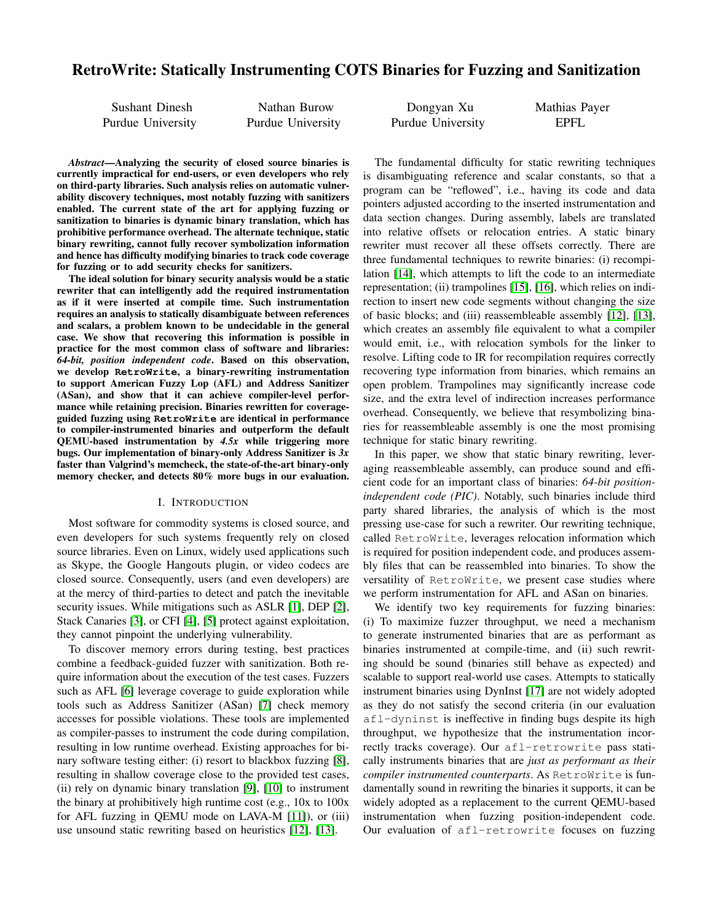# RetroWrite: Statically Instrumenting COTS Binaries for Fuzzing and Sanitization

| Sushant Dinesh    | Nathan Burow      | Dongyan Xu        |
|-------------------|-------------------|-------------------|
| Purdue University | Purdue University | Purdue University |

*Abstract*—Analyzing the security of closed source binaries is currently impractical for end-users, or even developers who rely on third-party libraries. Such analysis relies on automatic vulnerability discovery techniques, most notably fuzzing with sanitizers enabled. The current state of the art for applying fuzzing or sanitization to binaries is dynamic binary translation, which has prohibitive performance overhead. The alternate technique, static binary rewriting, cannot fully recover symbolization information and hence has difficulty modifying binaries to track code coverage for fuzzing or to add security checks for sanitizers.

The ideal solution for binary security analysis would be a static rewriter that can intelligently add the required instrumentation as if it were inserted at compile time. Such instrumentation requires an analysis to statically disambiguate between references and scalars, a problem known to be undecidable in the general case. We show that recovering this information is possible in practice for the most common class of software and libraries: *64-bit, position independent code*. Based on this observation, we develop **RetroWrite**, a binary-rewriting instrumentation to support American Fuzzy Lop (AFL) and Address Sanitizer (ASan), and show that it can achieve compiler-level performance while retaining precision. Binaries rewritten for coverageguided fuzzing using **RetroWrite** are identical in performance to compiler-instrumented binaries and outperform the default QEMU-based instrumentation by *4.5x* while triggering more bugs. Our implementation of binary-only Address Sanitizer is *3x* faster than Valgrind's memcheck, the state-of-the-art binary-only memory checker, and detects 80% more bugs in our evaluation.

#### I. INTRODUCTION

Most software for commodity systems is closed source, and even developers for such systems frequently rely on closed source libraries. Even on Linux, widely used applications such as Skype, the Google Hangouts plugin, or video codecs are closed source. Consequently, users (and even developers) are at the mercy of third-parties to detect and patch the inevitable security issues. While mitigations such as ASLR [\[1\]](#page-13-0), DEP [\[2\]](#page-13-1), Stack Canaries [\[3\]](#page-13-2), or CFI [\[4\]](#page-13-3), [\[5\]](#page-13-4) protect against exploitation, they cannot pinpoint the underlying vulnerability.

To discover memory errors during testing, best practices combine a feedback-guided fuzzer with sanitization. Both require information about the execution of the test cases. Fuzzers such as AFL [\[6\]](#page-13-5) leverage coverage to guide exploration while tools such as Address Sanitizer (ASan) [\[7\]](#page-13-6) check memory accesses for possible violations. These tools are implemented as compiler-passes to instrument the code during compilation, resulting in low runtime overhead. Existing approaches for binary software testing either: (i) resort to blackbox fuzzing [\[8\]](#page-13-7), resulting in shallow coverage close to the provided test cases, (ii) rely on dynamic binary translation [\[9\]](#page-13-8), [\[10\]](#page-13-9) to instrument the binary at prohibitively high runtime cost (e.g., 10x to 100x for AFL fuzzing in QEMU mode on LAVA-M [\[11\]](#page-13-10)), or (iii) use unsound static rewriting based on heuristics [\[12\]](#page-13-11), [\[13\]](#page-13-12).

EPFL The fundamental difficulty for static rewriting techniques is disambiguating reference and scalar constants, so that a program can be "reflowed", i.e., having its code and data pointers adjusted according to the inserted instrumentation and data section changes. During assembly, labels are translated into relative offsets or relocation entries. A static binary rewriter must recover all these offsets correctly. There are three fundamental techniques to rewrite binaries: (i) recompilation [\[14\]](#page-13-13), which attempts to lift the code to an intermediate representation; (ii) trampolines [\[15\]](#page-13-14), [\[16\]](#page-13-15), which relies on indirection to insert new code segments without changing the size of basic blocks; and (iii) reassembleable assembly [\[12\]](#page-13-11), [\[13\]](#page-13-12),

Mathias Payer

which creates an assembly file equivalent to what a compiler would emit, i.e., with relocation symbols for the linker to resolve. Lifting code to IR for recompilation requires correctly recovering type information from binaries, which remains an open problem. Trampolines may significantly increase code size, and the extra level of indirection increases performance overhead. Consequently, we believe that resymbolizing binaries for reassembleable assembly is one the most promising technique for static binary rewriting.

In this paper, we show that static binary rewriting, leveraging reassembleable assembly, can produce sound and efficient code for an important class of binaries: *64-bit positionindependent code (PIC)*. Notably, such binaries include third party shared libraries, the analysis of which is the most pressing use-case for such a rewriter. Our rewriting technique, called RetroWrite, leverages relocation information which is required for position independent code, and produces assembly files that can be reassembled into binaries. To show the versatility of RetroWrite, we present case studies where we perform instrumentation for AFL and ASan on binaries.

We identify two key requirements for fuzzing binaries: (i) To maximize fuzzer throughput, we need a mechanism to generate instrumented binaries that are as performant as binaries instrumented at compile-time, and (ii) such rewriting should be sound (binaries still behave as expected) and scalable to support real-world use cases. Attempts to statically instrument binaries using DynInst [\[17\]](#page-13-16) are not widely adopted as they do not satisfy the second criteria (in our evaluation afl-dyninst is ineffective in finding bugs despite its high throughput, we hypothesize that the instrumentation incorrectly tracks coverage). Our afl-retrowrite pass statically instruments binaries that are *just as performant as their compiler instrumented counterparts*. As RetroWrite is fundamentally sound in rewriting the binaries it supports, it can be widely adopted as a replacement to the current QEMU-based instrumentation when fuzzing position-independent code. Our evaluation of afl-retrowrite focuses on fuzzing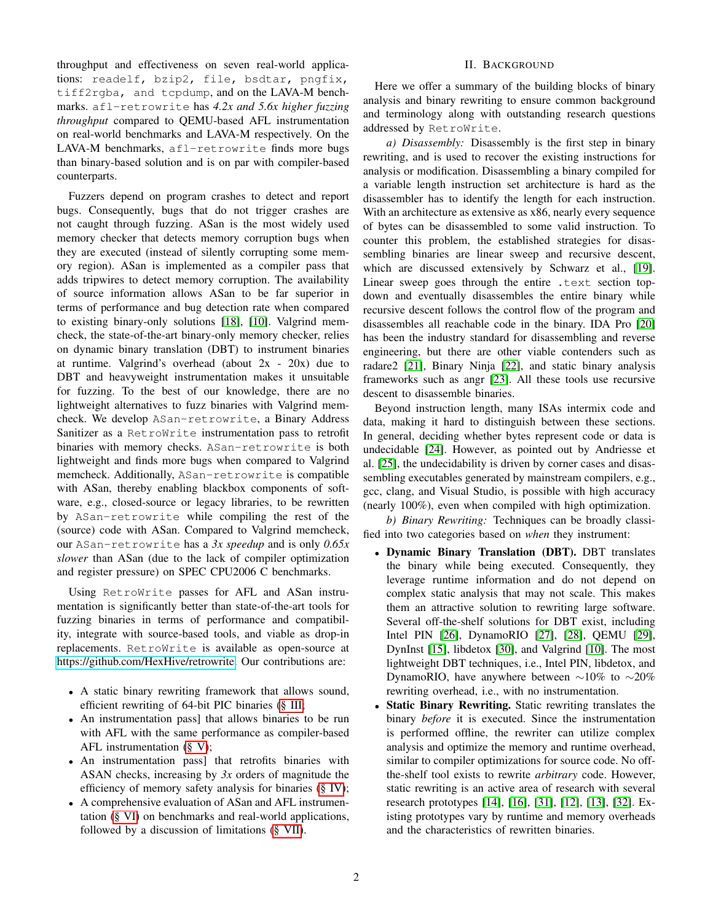throughput and effectiveness on seven real-world applications: readelf, bzip2, file, bsdtar, pngfix, tiff2rgba, and tcpdump, and on the LAVA-M benchmarks. afl-retrowrite has *4.2x and 5.6x higher fuzzing throughput* compared to QEMU-based AFL instrumentation on real-world benchmarks and LAVA-M respectively. On the LAVA-M benchmarks, afl-retrowrite finds more bugs than binary-based solution and is on par with compiler-based counterparts.

Fuzzers depend on program crashes to detect and report bugs. Consequently, bugs that do not trigger crashes are not caught through fuzzing. ASan is the most widely used memory checker that detects memory corruption bugs when they are executed (instead of silently corrupting some memory region). ASan is implemented as a compiler pass that adds tripwires to detect memory corruption. The availability of source information allows ASan to be far superior in terms of performance and bug detection rate when compared to existing binary-only solutions [\[18\]](#page-13-17), [\[10\]](#page-13-9). Valgrind memcheck, the state-of-the-art binary-only memory checker, relies on dynamic binary translation (DBT) to instrument binaries at runtime. Valgrind's overhead (about  $2x - 20x$ ) due to DBT and heavyweight instrumentation makes it unsuitable for fuzzing. To the best of our knowledge, there are no lightweight alternatives to fuzz binaries with Valgrind memcheck. We develop ASan-retrowrite, a Binary Address Sanitizer as a RetroWrite instrumentation pass to retrofit binaries with memory checks. ASan-retrowrite is both lightweight and finds more bugs when compared to Valgrind memcheck. Additionally, ASan-retrowrite is compatible with ASan, thereby enabling blackbox components of software, e.g., closed-source or legacy libraries, to be rewritten by ASan-retrowrite while compiling the rest of the (source) code with ASan. Compared to Valgrind memcheck, our ASan-retrowrite has a *3x speedup* and is only *0.65x slower* than ASan (due to the lack of compiler optimization and register pressure) on SPEC CPU2006 C benchmarks.

Using RetroWrite passes for AFL and ASan instrumentation is significantly better than state-of-the-art tools for fuzzing binaries in terms of performance and compatibility, integrate with source-based tools, and viable as drop-in replacements. RetroWrite is available as open-source at [https://github.com/HexHive/retrowrite.](https://github.com/HexHive/retrowrite) Our contributions are:

- A static binary rewriting framework that allows sound, efficient rewriting of 64-bit PIC binaries [\(§ III;](#page-2-0)
- An instrumentation pass] that allows binaries to be run with AFL with the same performance as compiler-based AFL instrumentation [\(§ V\)](#page-7-0);
- An instrumentation pass] that retrofits binaries with ASAN checks, increasing by *3x* orders of magnitude the efficiency of memory safety analysis for binaries [\(§ IV\)](#page-5-0);
- A comprehensive evaluation of ASan and AFL instrumentation [\(§ VI\)](#page-7-1) on benchmarks and real-world applications, followed by a discussion of limitations [\(§ VII\)](#page-11-0).

# II. BACKGROUND

Here we offer a summary of the building blocks of binary analysis and binary rewriting to ensure common background and terminology along with outstanding research questions addressed by RetroWrite.

*a) Disassembly:* Disassembly is the first step in binary rewriting, and is used to recover the existing instructions for analysis or modification. Disassembling a binary compiled for a variable length instruction set architecture is hard as the disassembler has to identify the length for each instruction. With an architecture as extensive as x86, nearly every sequence of bytes can be disassembled to some valid instruction. To counter this problem, the established strategies for disassembling binaries are linear sweep and recursive descent, which are discussed extensively by Schwarz et al., [\[19\]](#page-13-18). Linear sweep goes through the entire .text section topdown and eventually disassembles the entire binary while recursive descent follows the control flow of the program and disassembles all reachable code in the binary. IDA Pro [\[20\]](#page-13-19) has been the industry standard for disassembling and reverse engineering, but there are other viable contenders such as radare2 [\[21\]](#page-13-20), Binary Ninja [\[22\]](#page-13-21), and static binary analysis frameworks such as angr [\[23\]](#page-13-22). All these tools use recursive descent to disassemble binaries.

Beyond instruction length, many ISAs intermix code and data, making it hard to distinguish between these sections. In general, deciding whether bytes represent code or data is undecidable [\[24\]](#page-13-23). However, as pointed out by Andriesse et al. [\[25\]](#page-13-24), the undecidability is driven by corner cases and disassembling executables generated by mainstream compilers, e.g., gcc, clang, and Visual Studio, is possible with high accuracy (nearly 100%), even when compiled with high optimization.

*b) Binary Rewriting:* Techniques can be broadly classified into two categories based on *when* they instrument:

- Dynamic Binary Translation (DBT). DBT translates the binary while being executed. Consequently, they leverage runtime information and do not depend on complex static analysis that may not scale. This makes them an attractive solution to rewriting large software. Several off-the-shelf solutions for DBT exist, including Intel PIN [\[26\]](#page-13-25), DynamoRIO [\[27\]](#page-13-26), [\[28\]](#page-13-27), QEMU [\[29\]](#page-13-28), DynInst [\[15\]](#page-13-14), libdetox [\[30\]](#page-13-29), and Valgrind [\[10\]](#page-13-9). The most lightweight DBT techniques, i.e., Intel PIN, libdetox, and DynamoRIO, have anywhere between ∼10% to ∼20% rewriting overhead, i.e., with no instrumentation.
- Static Binary Rewriting. Static rewriting translates the binary *before* it is executed. Since the instrumentation is performed offline, the rewriter can utilize complex analysis and optimize the memory and runtime overhead, similar to compiler optimizations for source code. No offthe-shelf tool exists to rewrite *arbitrary* code. However, static rewriting is an active area of research with several research prototypes [\[14\]](#page-13-13), [\[16\]](#page-13-15), [\[31\]](#page-13-30), [\[12\]](#page-13-11), [\[13\]](#page-13-12), [\[32\]](#page-13-31). Existing prototypes vary by runtime and memory overheads and the characteristics of rewritten binaries.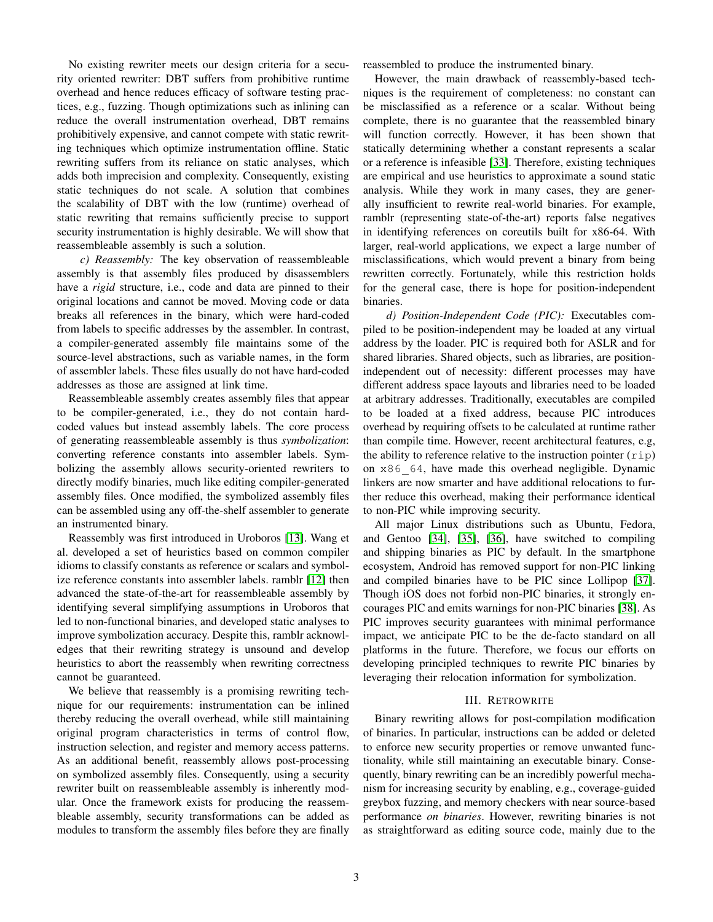No existing rewriter meets our design criteria for a security oriented rewriter: DBT suffers from prohibitive runtime overhead and hence reduces efficacy of software testing practices, e.g., fuzzing. Though optimizations such as inlining can reduce the overall instrumentation overhead, DBT remains prohibitively expensive, and cannot compete with static rewriting techniques which optimize instrumentation offline. Static rewriting suffers from its reliance on static analyses, which adds both imprecision and complexity. Consequently, existing static techniques do not scale. A solution that combines the scalability of DBT with the low (runtime) overhead of static rewriting that remains sufficiently precise to support security instrumentation is highly desirable. We will show that reassembleable assembly is such a solution.

*c) Reassembly:* The key observation of reassembleable assembly is that assembly files produced by disassemblers have a *rigid* structure, i.e., code and data are pinned to their original locations and cannot be moved. Moving code or data breaks all references in the binary, which were hard-coded from labels to specific addresses by the assembler. In contrast, a compiler-generated assembly file maintains some of the source-level abstractions, such as variable names, in the form of assembler labels. These files usually do not have hard-coded addresses as those are assigned at link time.

Reassembleable assembly creates assembly files that appear to be compiler-generated, i.e., they do not contain hardcoded values but instead assembly labels. The core process of generating reassembleable assembly is thus *symbolization*: converting reference constants into assembler labels. Symbolizing the assembly allows security-oriented rewriters to directly modify binaries, much like editing compiler-generated assembly files. Once modified, the symbolized assembly files can be assembled using any off-the-shelf assembler to generate an instrumented binary.

Reassembly was first introduced in Uroboros [\[13\]](#page-13-12). Wang et al. developed a set of heuristics based on common compiler idioms to classify constants as reference or scalars and symbolize reference constants into assembler labels. ramblr [\[12\]](#page-13-11) then advanced the state-of-the-art for reassembleable assembly by identifying several simplifying assumptions in Uroboros that led to non-functional binaries, and developed static analyses to improve symbolization accuracy. Despite this, ramblr acknowledges that their rewriting strategy is unsound and develop heuristics to abort the reassembly when rewriting correctness cannot be guaranteed.

We believe that reassembly is a promising rewriting technique for our requirements: instrumentation can be inlined thereby reducing the overall overhead, while still maintaining original program characteristics in terms of control flow, instruction selection, and register and memory access patterns. As an additional benefit, reassembly allows post-processing on symbolized assembly files. Consequently, using a security rewriter built on reassembleable assembly is inherently modular. Once the framework exists for producing the reassembleable assembly, security transformations can be added as modules to transform the assembly files before they are finally reassembled to produce the instrumented binary.

However, the main drawback of reassembly-based techniques is the requirement of completeness: no constant can be misclassified as a reference or a scalar. Without being complete, there is no guarantee that the reassembled binary will function correctly. However, it has been shown that statically determining whether a constant represents a scalar or a reference is infeasible [\[33\]](#page-13-32). Therefore, existing techniques are empirical and use heuristics to approximate a sound static analysis. While they work in many cases, they are generally insufficient to rewrite real-world binaries. For example, ramblr (representing state-of-the-art) reports false negatives in identifying references on coreutils built for x86-64. With larger, real-world applications, we expect a large number of misclassifications, which would prevent a binary from being rewritten correctly. Fortunately, while this restriction holds for the general case, there is hope for position-independent binaries.

*d) Position-Independent Code (PIC):* Executables compiled to be position-independent may be loaded at any virtual address by the loader. PIC is required both for ASLR and for shared libraries. Shared objects, such as libraries, are positionindependent out of necessity: different processes may have different address space layouts and libraries need to be loaded at arbitrary addresses. Traditionally, executables are compiled to be loaded at a fixed address, because PIC introduces overhead by requiring offsets to be calculated at runtime rather than compile time. However, recent architectural features, e.g, the ability to reference relative to the instruction pointer  $(rip)$ on x86 64, have made this overhead negligible. Dynamic linkers are now smarter and have additional relocations to further reduce this overhead, making their performance identical to non-PIC while improving security.

All major Linux distributions such as Ubuntu, Fedora, and Gentoo [\[34\]](#page-13-33), [\[35\]](#page-13-34), [\[36\]](#page-13-35), have switched to compiling and shipping binaries as PIC by default. In the smartphone ecosystem, Android has removed support for non-PIC linking and compiled binaries have to be PIC since Lollipop [\[37\]](#page-13-36). Though iOS does not forbid non-PIC binaries, it strongly encourages PIC and emits warnings for non-PIC binaries [\[38\]](#page-14-0). As PIC improves security guarantees with minimal performance impact, we anticipate PIC to be the de-facto standard on all platforms in the future. Therefore, we focus our efforts on developing principled techniques to rewrite PIC binaries by leveraging their relocation information for symbolization.

#### III. RETROWRITE

<span id="page-2-0"></span>Binary rewriting allows for post-compilation modification of binaries. In particular, instructions can be added or deleted to enforce new security properties or remove unwanted functionality, while still maintaining an executable binary. Consequently, binary rewriting can be an incredibly powerful mechanism for increasing security by enabling, e.g., coverage-guided greybox fuzzing, and memory checkers with near source-based performance *on binaries*. However, rewriting binaries is not as straightforward as editing source code, mainly due to the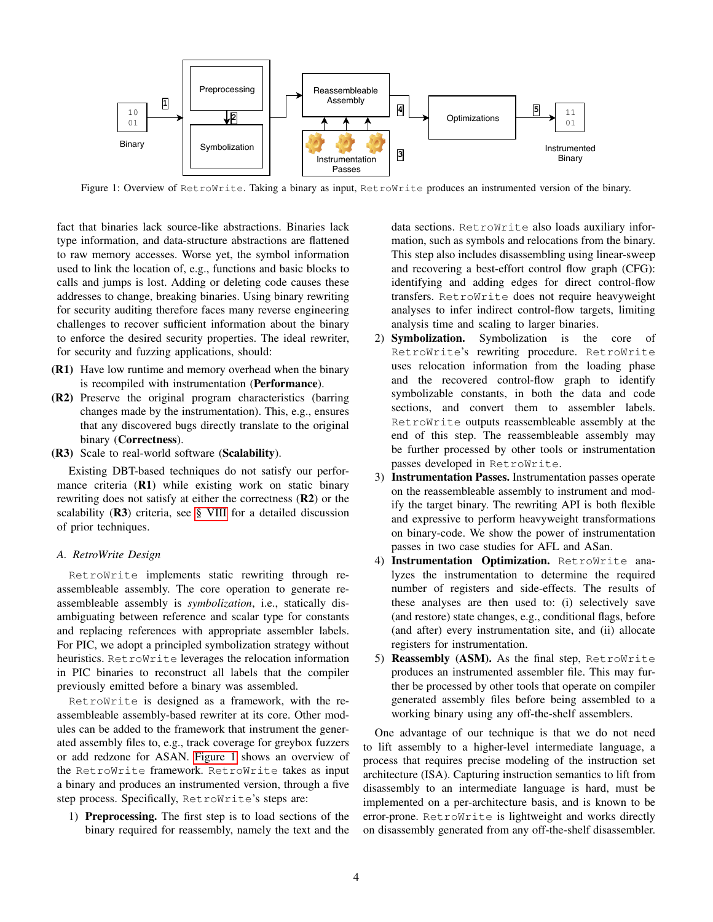<span id="page-3-0"></span>

Figure 1: Overview of RetroWrite. Taking a binary as input, RetroWrite produces an instrumented version of the binary.

fact that binaries lack source-like abstractions. Binaries lack type information, and data-structure abstractions are flattened to raw memory accesses. Worse yet, the symbol information used to link the location of, e.g., functions and basic blocks to calls and jumps is lost. Adding or deleting code causes these addresses to change, breaking binaries. Using binary rewriting for security auditing therefore faces many reverse engineering challenges to recover sufficient information about the binary to enforce the desired security properties. The ideal rewriter, for security and fuzzing applications, should:

- (R1) Have low runtime and memory overhead when the binary is recompiled with instrumentation (Performance).
- (R2) Preserve the original program characteristics (barring changes made by the instrumentation). This, e.g., ensures that any discovered bugs directly translate to the original binary (Correctness).
- (R3) Scale to real-world software (Scalability).

Existing DBT-based techniques do not satisfy our performance criteria (R1) while existing work on static binary rewriting does not satisfy at either the correctness (R2) or the scalability (R3) criteria, see [§ VIII](#page-11-1) for a detailed discussion of prior techniques.

# *A. RetroWrite Design*

RetroWrite implements static rewriting through reassembleable assembly. The core operation to generate reassembleable assembly is *symbolization*, i.e., statically disambiguating between reference and scalar type for constants and replacing references with appropriate assembler labels. For PIC, we adopt a principled symbolization strategy without heuristics. RetroWrite leverages the relocation information in PIC binaries to reconstruct all labels that the compiler previously emitted before a binary was assembled.

RetroWrite is designed as a framework, with the reassembleable assembly-based rewriter at its core. Other modules can be added to the framework that instrument the generated assembly files to, e.g., track coverage for greybox fuzzers or add redzone for ASAN. [Figure 1](#page-3-0) shows an overview of the RetroWrite framework. RetroWrite takes as input a binary and produces an instrumented version, through a five step process. Specifically, RetroWrite's steps are:

1) Preprocessing. The first step is to load sections of the binary required for reassembly, namely the text and the

data sections. RetroWrite also loads auxiliary information, such as symbols and relocations from the binary. This step also includes disassembling using linear-sweep and recovering a best-effort control flow graph (CFG): identifying and adding edges for direct control-flow transfers. RetroWrite does not require heavyweight analyses to infer indirect control-flow targets, limiting analysis time and scaling to larger binaries.

- 2) Symbolization. Symbolization is the core of RetroWrite's rewriting procedure. RetroWrite uses relocation information from the loading phase and the recovered control-flow graph to identify symbolizable constants, in both the data and code sections, and convert them to assembler labels. RetroWrite outputs reassembleable assembly at the end of this step. The reassembleable assembly may be further processed by other tools or instrumentation passes developed in RetroWrite.
- 3) Instrumentation Passes. Instrumentation passes operate on the reassembleable assembly to instrument and modify the target binary. The rewriting API is both flexible and expressive to perform heavyweight transformations on binary-code. We show the power of instrumentation passes in two case studies for AFL and ASan.
- 4) Instrumentation Optimization. RetroWrite analyzes the instrumentation to determine the required number of registers and side-effects. The results of these analyses are then used to: (i) selectively save (and restore) state changes, e.g., conditional flags, before (and after) every instrumentation site, and (ii) allocate registers for instrumentation.
- 5) Reassembly (ASM). As the final step, RetroWrite produces an instrumented assembler file. This may further be processed by other tools that operate on compiler generated assembly files before being assembled to a working binary using any off-the-shelf assemblers.

One advantage of our technique is that we do not need to lift assembly to a higher-level intermediate language, a process that requires precise modeling of the instruction set architecture (ISA). Capturing instruction semantics to lift from disassembly to an intermediate language is hard, must be implemented on a per-architecture basis, and is known to be error-prone. RetroWrite is lightweight and works directly on disassembly generated from any off-the-shelf disassembler.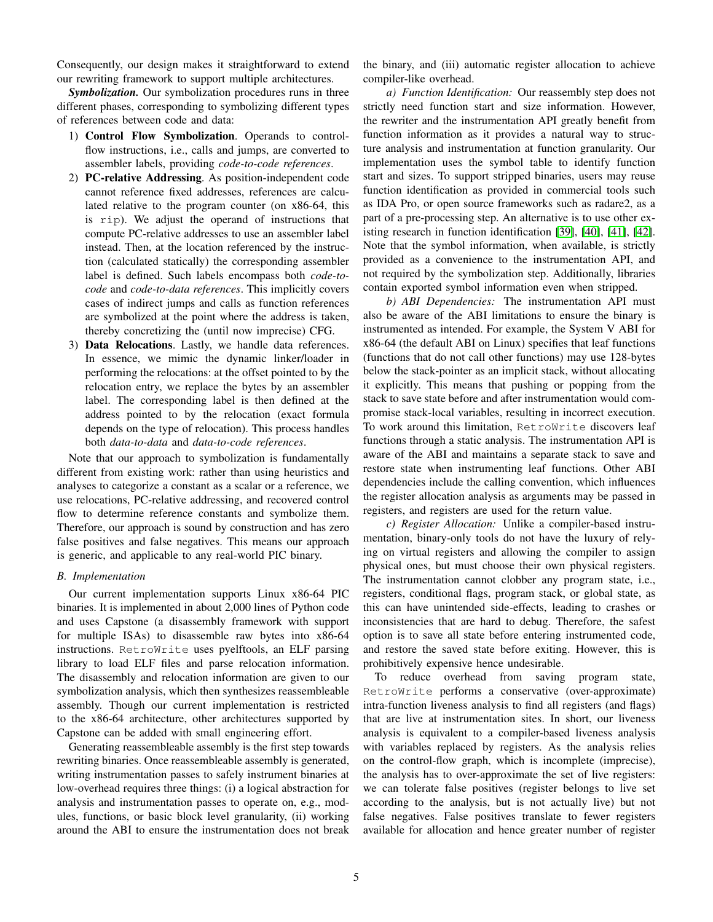Consequently, our design makes it straightforward to extend our rewriting framework to support multiple architectures.

*Symbolization.* Our symbolization procedures runs in three different phases, corresponding to symbolizing different types of references between code and data:

- 1) Control Flow Symbolization. Operands to controlflow instructions, i.e., calls and jumps, are converted to assembler labels, providing *code-to-code references*.
- 2) PC-relative Addressing. As position-independent code cannot reference fixed addresses, references are calculated relative to the program counter (on x86-64, this is rip). We adjust the operand of instructions that compute PC-relative addresses to use an assembler label instead. Then, at the location referenced by the instruction (calculated statically) the corresponding assembler label is defined. Such labels encompass both *code-tocode* and *code-to-data references*. This implicitly covers cases of indirect jumps and calls as function references are symbolized at the point where the address is taken, thereby concretizing the (until now imprecise) CFG.
- 3) Data Relocations. Lastly, we handle data references. In essence, we mimic the dynamic linker/loader in performing the relocations: at the offset pointed to by the relocation entry, we replace the bytes by an assembler label. The corresponding label is then defined at the address pointed to by the relocation (exact formula depends on the type of relocation). This process handles both *data-to-data* and *data-to-code references*.

Note that our approach to symbolization is fundamentally different from existing work: rather than using heuristics and analyses to categorize a constant as a scalar or a reference, we use relocations, PC-relative addressing, and recovered control flow to determine reference constants and symbolize them. Therefore, our approach is sound by construction and has zero false positives and false negatives. This means our approach is generic, and applicable to any real-world PIC binary.

#### *B. Implementation*

Our current implementation supports Linux x86-64 PIC binaries. It is implemented in about 2,000 lines of Python code and uses Capstone (a disassembly framework with support for multiple ISAs) to disassemble raw bytes into x86-64 instructions. RetroWrite uses pyelftools, an ELF parsing library to load ELF files and parse relocation information. The disassembly and relocation information are given to our symbolization analysis, which then synthesizes reassembleable assembly. Though our current implementation is restricted to the x86-64 architecture, other architectures supported by Capstone can be added with small engineering effort.

Generating reassembleable assembly is the first step towards rewriting binaries. Once reassembleable assembly is generated, writing instrumentation passes to safely instrument binaries at low-overhead requires three things: (i) a logical abstraction for analysis and instrumentation passes to operate on, e.g., modules, functions, or basic block level granularity, (ii) working around the ABI to ensure the instrumentation does not break the binary, and (iii) automatic register allocation to achieve compiler-like overhead.

*a) Function Identification:* Our reassembly step does not strictly need function start and size information. However, the rewriter and the instrumentation API greatly benefit from function information as it provides a natural way to structure analysis and instrumentation at function granularity. Our implementation uses the symbol table to identify function start and sizes. To support stripped binaries, users may reuse function identification as provided in commercial tools such as IDA Pro, or open source frameworks such as radare2, as a part of a pre-processing step. An alternative is to use other existing research in function identification [\[39\]](#page-14-1), [\[40\]](#page-14-2), [\[41\]](#page-14-3), [\[42\]](#page-14-4). Note that the symbol information, when available, is strictly provided as a convenience to the instrumentation API, and not required by the symbolization step. Additionally, libraries contain exported symbol information even when stripped.

*b) ABI Dependencies:* The instrumentation API must also be aware of the ABI limitations to ensure the binary is instrumented as intended. For example, the System V ABI for x86-64 (the default ABI on Linux) specifies that leaf functions (functions that do not call other functions) may use 128-bytes below the stack-pointer as an implicit stack, without allocating it explicitly. This means that pushing or popping from the stack to save state before and after instrumentation would compromise stack-local variables, resulting in incorrect execution. To work around this limitation, RetroWrite discovers leaf functions through a static analysis. The instrumentation API is aware of the ABI and maintains a separate stack to save and restore state when instrumenting leaf functions. Other ABI dependencies include the calling convention, which influences the register allocation analysis as arguments may be passed in registers, and registers are used for the return value.

*c) Register Allocation:* Unlike a compiler-based instrumentation, binary-only tools do not have the luxury of relying on virtual registers and allowing the compiler to assign physical ones, but must choose their own physical registers. The instrumentation cannot clobber any program state, i.e., registers, conditional flags, program stack, or global state, as this can have unintended side-effects, leading to crashes or inconsistencies that are hard to debug. Therefore, the safest option is to save all state before entering instrumented code, and restore the saved state before exiting. However, this is prohibitively expensive hence undesirable.

To reduce overhead from saving program state, RetroWrite performs a conservative (over-approximate) intra-function liveness analysis to find all registers (and flags) that are live at instrumentation sites. In short, our liveness analysis is equivalent to a compiler-based liveness analysis with variables replaced by registers. As the analysis relies on the control-flow graph, which is incomplete (imprecise), the analysis has to over-approximate the set of live registers: we can tolerate false positives (register belongs to live set according to the analysis, but is not actually live) but not false negatives. False positives translate to fewer registers available for allocation and hence greater number of register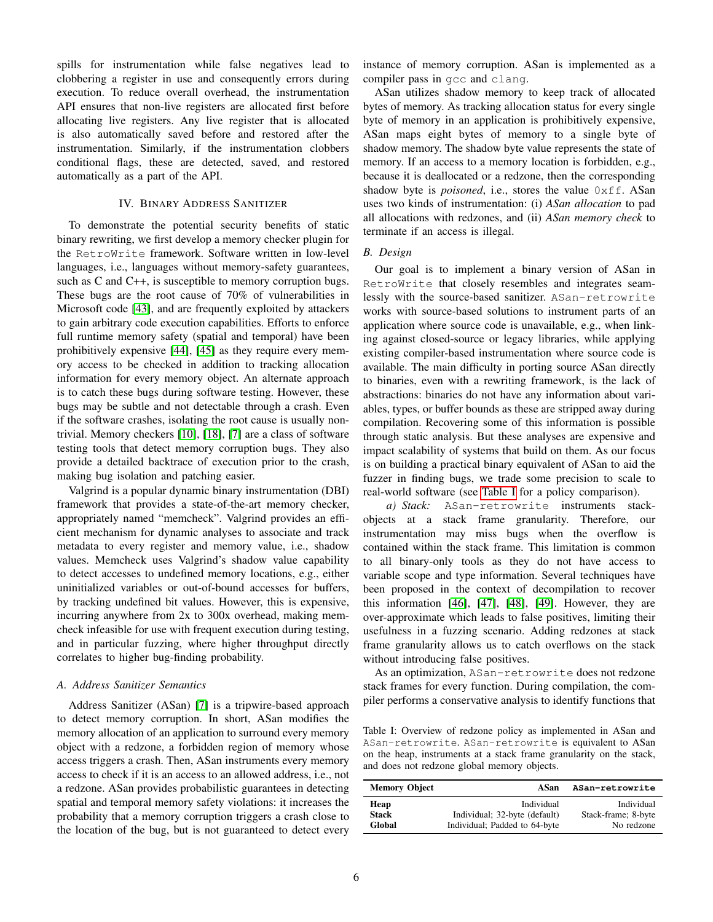spills for instrumentation while false negatives lead to clobbering a register in use and consequently errors during execution. To reduce overall overhead, the instrumentation API ensures that non-live registers are allocated first before allocating live registers. Any live register that is allocated is also automatically saved before and restored after the instrumentation. Similarly, if the instrumentation clobbers conditional flags, these are detected, saved, and restored automatically as a part of the API.

# IV. BINARY ADDRESS SANITIZER

<span id="page-5-0"></span>To demonstrate the potential security benefits of static binary rewriting, we first develop a memory checker plugin for the RetroWrite framework. Software written in low-level languages, i.e., languages without memory-safety guarantees, such as C and C++, is susceptible to memory corruption bugs. These bugs are the root cause of 70% of vulnerabilities in Microsoft code [\[43\]](#page-14-5), and are frequently exploited by attackers to gain arbitrary code execution capabilities. Efforts to enforce full runtime memory safety (spatial and temporal) have been prohibitively expensive [\[44\]](#page-14-6), [\[45\]](#page-14-7) as they require every memory access to be checked in addition to tracking allocation information for every memory object. An alternate approach is to catch these bugs during software testing. However, these bugs may be subtle and not detectable through a crash. Even if the software crashes, isolating the root cause is usually nontrivial. Memory checkers [\[10\]](#page-13-9), [\[18\]](#page-13-17), [\[7\]](#page-13-6) are a class of software testing tools that detect memory corruption bugs. They also provide a detailed backtrace of execution prior to the crash, making bug isolation and patching easier.

Valgrind is a popular dynamic binary instrumentation (DBI) framework that provides a state-of-the-art memory checker, appropriately named "memcheck". Valgrind provides an efficient mechanism for dynamic analyses to associate and track metadata to every register and memory value, i.e., shadow values. Memcheck uses Valgrind's shadow value capability to detect accesses to undefined memory locations, e.g., either uninitialized variables or out-of-bound accesses for buffers, by tracking undefined bit values. However, this is expensive, incurring anywhere from 2x to 300x overhead, making memcheck infeasible for use with frequent execution during testing, and in particular fuzzing, where higher throughput directly correlates to higher bug-finding probability.

# *A. Address Sanitizer Semantics*

Address Sanitizer (ASan) [\[7\]](#page-13-6) is a tripwire-based approach to detect memory corruption. In short, ASan modifies the memory allocation of an application to surround every memory object with a redzone, a forbidden region of memory whose access triggers a crash. Then, ASan instruments every memory access to check if it is an access to an allowed address, i.e., not a redzone. ASan provides probabilistic guarantees in detecting spatial and temporal memory safety violations: it increases the probability that a memory corruption triggers a crash close to the location of the bug, but is not guaranteed to detect every

instance of memory corruption. ASan is implemented as a compiler pass in gcc and clang.

ASan utilizes shadow memory to keep track of allocated bytes of memory. As tracking allocation status for every single byte of memory in an application is prohibitively expensive, ASan maps eight bytes of memory to a single byte of shadow memory. The shadow byte value represents the state of memory. If an access to a memory location is forbidden, e.g., because it is deallocated or a redzone, then the corresponding shadow byte is *poisoned*, i.e., stores the value 0xff. ASan uses two kinds of instrumentation: (i) *ASan allocation* to pad all allocations with redzones, and (ii) *ASan memory check* to terminate if an access is illegal.

# *B. Design*

Our goal is to implement a binary version of ASan in RetroWrite that closely resembles and integrates seamlessly with the source-based sanitizer. ASan-retrowrite works with source-based solutions to instrument parts of an application where source code is unavailable, e.g., when linking against closed-source or legacy libraries, while applying existing compiler-based instrumentation where source code is available. The main difficulty in porting source ASan directly to binaries, even with a rewriting framework, is the lack of abstractions: binaries do not have any information about variables, types, or buffer bounds as these are stripped away during compilation. Recovering some of this information is possible through static analysis. But these analyses are expensive and impact scalability of systems that build on them. As our focus is on building a practical binary equivalent of ASan to aid the fuzzer in finding bugs, we trade some precision to scale to real-world software (see [Table I](#page-5-1) for a policy comparison).

*a) Stack:* ASan-retrowrite instruments stackobjects at a stack frame granularity. Therefore, our instrumentation may miss bugs when the overflow is contained within the stack frame. This limitation is common to all binary-only tools as they do not have access to variable scope and type information. Several techniques have been proposed in the context of decompilation to recover this information [\[46\]](#page-14-8), [\[47\]](#page-14-9), [\[48\]](#page-14-10), [\[49\]](#page-14-11). However, they are over-approximate which leads to false positives, limiting their usefulness in a fuzzing scenario. Adding redzones at stack frame granularity allows us to catch overflows on the stack without introducing false positives.

As an optimization, ASan-retrowrite does not redzone stack frames for every function. During compilation, the compiler performs a conservative analysis to identify functions that

<span id="page-5-1"></span>Table I: Overview of redzone policy as implemented in ASan and ASan-retrowrite. ASan-retrowrite is equivalent to ASan on the heap, instruments at a stack frame granularity on the stack, and does not redzone global memory objects.

| <b>Memory Object</b> | ASan                          | ASan-retrowrite     |
|----------------------|-------------------------------|---------------------|
| Heap                 | Individual                    | Individual          |
| <b>Stack</b>         | Individual; 32-byte (default) | Stack-frame; 8-byte |
| Global               | Individual; Padded to 64-byte | No redzone          |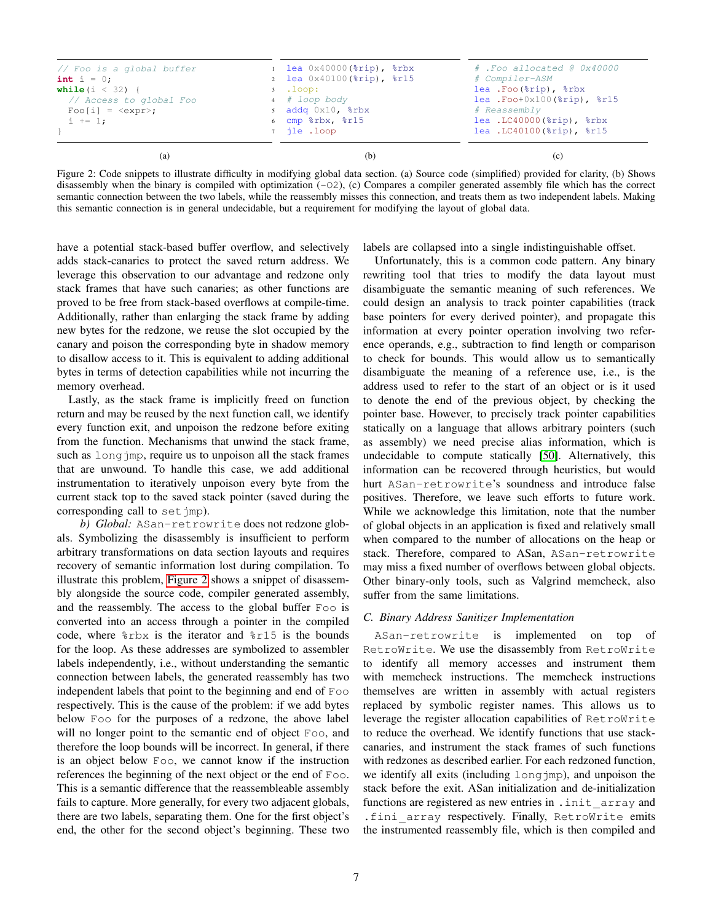<span id="page-6-0"></span>

| (a)                        | (b)                                | (c)                                            |
|----------------------------|------------------------------------|------------------------------------------------|
|                            | 7 ile .loop                        | lea .LC40100(%rip), %r15                       |
| $i \neq 1$ ;               | $6$ cmp $strbx$ , $str15$          | lea . $LCA0000$ $(\text{kip})$ , $\text{trb}x$ |
| $\text{Foo}[i] = \text{$ ; | 5 addg 0x10, %rbx                  | # Reassembly                                   |
| // Access to global Foo    | $4$ # loop body                    | lea .Foo+0x100(%rip), %r15                     |
| <b>while</b> $(i < 32)$ {  | $3$ . loop:                        | lea .Foo(%rip), %rbx                           |
| $int i = 0;$               | 2 lea $0x40100$ ( $8rip$ ), $8r15$ | # Compiler-ASM                                 |
| // Foo is a global buffer  | $1$ lea $0x40000$ ( $xip$ ), $zbx$ | # .Foo allocated @ 0x40000                     |
|                            |                                    |                                                |

Figure 2: Code snippets to illustrate difficulty in modifying global data section. (a) Source code (simplified) provided for clarity, (b) Shows disassembly when the binary is compiled with optimization (-O2), (c) Compares a compiler generated assembly file which has the correct semantic connection between the two labels, while the reassembly misses this connection, and treats them as two independent labels. Making this semantic connection is in general undecidable, but a requirement for modifying the layout of global data.

have a potential stack-based buffer overflow, and selectively adds stack-canaries to protect the saved return address. We leverage this observation to our advantage and redzone only stack frames that have such canaries; as other functions are proved to be free from stack-based overflows at compile-time. Additionally, rather than enlarging the stack frame by adding new bytes for the redzone, we reuse the slot occupied by the canary and poison the corresponding byte in shadow memory to disallow access to it. This is equivalent to adding additional bytes in terms of detection capabilities while not incurring the memory overhead.

Lastly, as the stack frame is implicitly freed on function return and may be reused by the next function call, we identify every function exit, and unpoison the redzone before exiting from the function. Mechanisms that unwind the stack frame, such as long jmp, require us to unpoison all the stack frames that are unwound. To handle this case, we add additional instrumentation to iteratively unpoison every byte from the current stack top to the saved stack pointer (saved during the corresponding call to setjmp).

*b) Global:* ASan-retrowrite does not redzone globals. Symbolizing the disassembly is insufficient to perform arbitrary transformations on data section layouts and requires recovery of semantic information lost during compilation. To illustrate this problem, [Figure 2](#page-6-0) shows a snippet of disassembly alongside the source code, compiler generated assembly, and the reassembly. The access to the global buffer Foo is converted into an access through a pointer in the compiled code, where  $\epsilon$  rbx is the iterator and  $\epsilon$  r15 is the bounds for the loop. As these addresses are symbolized to assembler labels independently, i.e., without understanding the semantic connection between labels, the generated reassembly has two independent labels that point to the beginning and end of Foo respectively. This is the cause of the problem: if we add bytes below Foo for the purposes of a redzone, the above label will no longer point to the semantic end of object Foo, and therefore the loop bounds will be incorrect. In general, if there is an object below Foo, we cannot know if the instruction references the beginning of the next object or the end of Foo. This is a semantic difference that the reassembleable assembly fails to capture. More generally, for every two adjacent globals, there are two labels, separating them. One for the first object's end, the other for the second object's beginning. These two labels are collapsed into a single indistinguishable offset.

Unfortunately, this is a common code pattern. Any binary rewriting tool that tries to modify the data layout must disambiguate the semantic meaning of such references. We could design an analysis to track pointer capabilities (track base pointers for every derived pointer), and propagate this information at every pointer operation involving two reference operands, e.g., subtraction to find length or comparison to check for bounds. This would allow us to semantically disambiguate the meaning of a reference use, i.e., is the address used to refer to the start of an object or is it used to denote the end of the previous object, by checking the pointer base. However, to precisely track pointer capabilities statically on a language that allows arbitrary pointers (such as assembly) we need precise alias information, which is undecidable to compute statically [\[50\]](#page-14-12). Alternatively, this information can be recovered through heuristics, but would hurt ASan-retrowrite's soundness and introduce false positives. Therefore, we leave such efforts to future work. While we acknowledge this limitation, note that the number of global objects in an application is fixed and relatively small when compared to the number of allocations on the heap or stack. Therefore, compared to ASan, ASan-retrowrite may miss a fixed number of overflows between global objects. Other binary-only tools, such as Valgrind memcheck, also suffer from the same limitations.

### *C. Binary Address Sanitizer Implementation*

ASan-retrowrite is implemented on top of RetroWrite. We use the disassembly from RetroWrite to identify all memory accesses and instrument them with memcheck instructions. The memcheck instructions themselves are written in assembly with actual registers replaced by symbolic register names. This allows us to leverage the register allocation capabilities of RetroWrite to reduce the overhead. We identify functions that use stackcanaries, and instrument the stack frames of such functions with redzones as described earlier. For each redzoned function, we identify all exits (including longjmp), and unpoison the stack before the exit. ASan initialization and de-initialization functions are registered as new entries in .init array and .fini array respectively. Finally, RetroWrite emits the instrumented reassembly file, which is then compiled and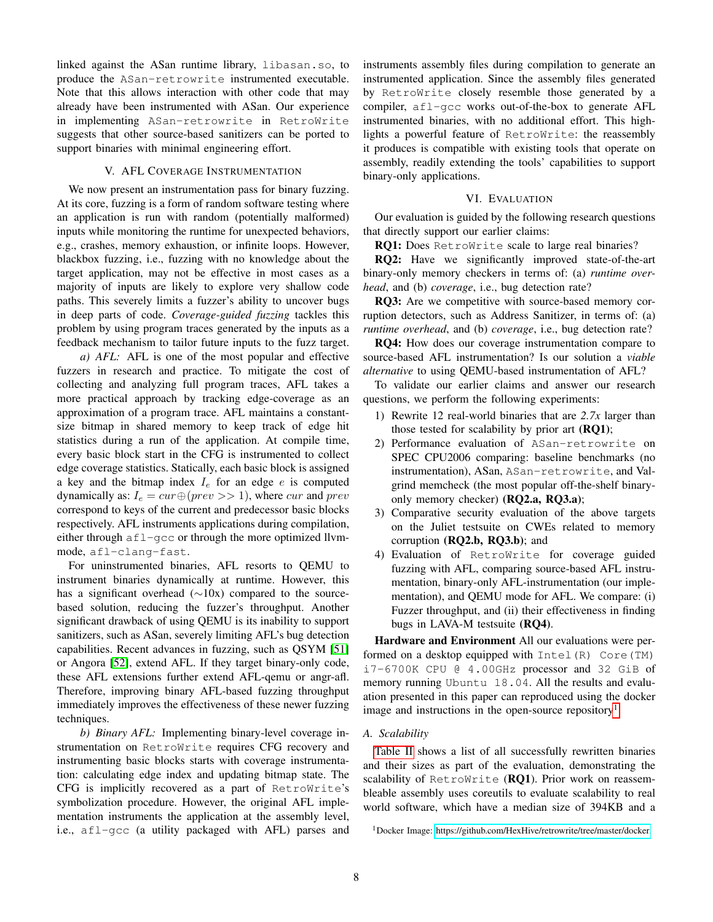linked against the ASan runtime library, libasan.so, to produce the ASan-retrowrite instrumented executable. Note that this allows interaction with other code that may already have been instrumented with ASan. Our experience in implementing ASan-retrowrite in RetroWrite suggests that other source-based sanitizers can be ported to support binaries with minimal engineering effort.

### V. AFL COVERAGE INSTRUMENTATION

<span id="page-7-0"></span>We now present an instrumentation pass for binary fuzzing. At its core, fuzzing is a form of random software testing where an application is run with random (potentially malformed) inputs while monitoring the runtime for unexpected behaviors, e.g., crashes, memory exhaustion, or infinite loops. However, blackbox fuzzing, i.e., fuzzing with no knowledge about the target application, may not be effective in most cases as a majority of inputs are likely to explore very shallow code paths. This severely limits a fuzzer's ability to uncover bugs in deep parts of code. *Coverage-guided fuzzing* tackles this problem by using program traces generated by the inputs as a feedback mechanism to tailor future inputs to the fuzz target.

*a) AFL:* AFL is one of the most popular and effective fuzzers in research and practice. To mitigate the cost of collecting and analyzing full program traces, AFL takes a more practical approach by tracking edge-coverage as an approximation of a program trace. AFL maintains a constantsize bitmap in shared memory to keep track of edge hit statistics during a run of the application. At compile time, every basic block start in the CFG is instrumented to collect edge coverage statistics. Statically, each basic block is assigned a key and the bitmap index  $I_e$  for an edge e is computed dynamically as:  $I_e = cur \oplus (prev \gg 1)$ , where cur and prev correspond to keys of the current and predecessor basic blocks respectively. AFL instruments applications during compilation, either through afl-gcc or through the more optimized llvmmode, afl-clang-fast.

For uninstrumented binaries, AFL resorts to QEMU to instrument binaries dynamically at runtime. However, this has a significant overhead (∼10x) compared to the sourcebased solution, reducing the fuzzer's throughput. Another significant drawback of using QEMU is its inability to support sanitizers, such as ASan, severely limiting AFL's bug detection capabilities. Recent advances in fuzzing, such as QSYM [\[51\]](#page-14-13) or Angora [\[52\]](#page-14-14), extend AFL. If they target binary-only code, these AFL extensions further extend AFL-qemu or angr-afl. Therefore, improving binary AFL-based fuzzing throughput immediately improves the effectiveness of these newer fuzzing techniques.

*b) Binary AFL:* Implementing binary-level coverage instrumentation on RetroWrite requires CFG recovery and instrumenting basic blocks starts with coverage instrumentation: calculating edge index and updating bitmap state. The CFG is implicitly recovered as a part of RetroWrite's symbolization procedure. However, the original AFL implementation instruments the application at the assembly level, i.e., afl-gcc (a utility packaged with AFL) parses and instruments assembly files during compilation to generate an instrumented application. Since the assembly files generated by RetroWrite closely resemble those generated by a compiler, afl-gcc works out-of-the-box to generate AFL instrumented binaries, with no additional effort. This highlights a powerful feature of RetroWrite: the reassembly it produces is compatible with existing tools that operate on assembly, readily extending the tools' capabilities to support binary-only applications.

### VI. EVALUATION

<span id="page-7-1"></span>Our evaluation is guided by the following research questions that directly support our earlier claims:

RQ1: Does RetroWrite scale to large real binaries?

RQ2: Have we significantly improved state-of-the-art binary-only memory checkers in terms of: (a) *runtime overhead*, and (b) *coverage*, i.e., bug detection rate?

RQ3: Are we competitive with source-based memory corruption detectors, such as Address Sanitizer, in terms of: (a) *runtime overhead*, and (b) *coverage*, i.e., bug detection rate?

RQ4: How does our coverage instrumentation compare to source-based AFL instrumentation? Is our solution a *viable alternative* to using QEMU-based instrumentation of AFL?

To validate our earlier claims and answer our research questions, we perform the following experiments:

- 1) Rewrite 12 real-world binaries that are *2.7x* larger than those tested for scalability by prior art  $(RQ1)$ ;
- 2) Performance evaluation of ASan-retrowrite on SPEC CPU2006 comparing: baseline benchmarks (no instrumentation), ASan, ASan-retrowrite, and Valgrind memcheck (the most popular off-the-shelf binaryonly memory checker) (RQ2.a, RQ3.a);
- 3) Comparative security evaluation of the above targets on the Juliet testsuite on CWEs related to memory corruption (RQ2.b, RQ3.b); and
- 4) Evaluation of RetroWrite for coverage guided fuzzing with AFL, comparing source-based AFL instrumentation, binary-only AFL-instrumentation (our implementation), and QEMU mode for AFL. We compare: (i) Fuzzer throughput, and (ii) their effectiveness in finding bugs in LAVA-M testsuite (RQ4).

Hardware and Environment All our evaluations were performed on a desktop equipped with Intel(R) Core(TM) i7-6700K CPU @ 4.00GHz processor and 32 GiB of memory running Ubuntu 18.04. All the results and evaluation presented in this paper can reproduced using the docker image and instructions in the open-source repository<sup>[1](#page-7-2)</sup>.

#### *A. Scalability*

[Table II](#page-8-0) shows a list of all successfully rewritten binaries and their sizes as part of the evaluation, demonstrating the scalability of RetroWrite (RQ1). Prior work on reassembleable assembly uses coreutils to evaluate scalability to real world software, which have a median size of 394KB and a

<span id="page-7-2"></span><sup>1</sup>Docker Image: [https://github.com/HexHive/retrowrite/tree/master/docker.](https://github.com/HexHive/retrowrite/tree/master/docker)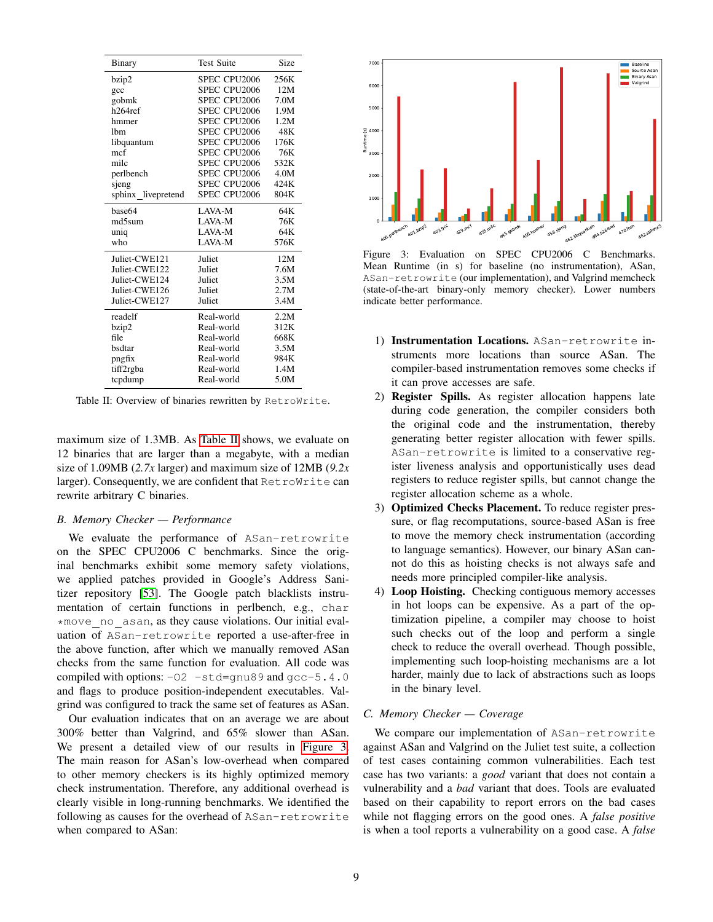<span id="page-8-0"></span>

| Binary             | <b>Test Suite</b> | Size |
|--------------------|-------------------|------|
| bzip2              | SPEC CPU2006      | 256K |
| gcc                | SPEC CPU2006      | 12M  |
| gobmk              | SPEC CPU2006      | 7.0M |
| h264ref            | SPEC CPU2006      | 1.9M |
| hmmer              | SPEC CPU2006      | 1.2M |
| <b>lbm</b>         | SPEC CPU2006      | 48K  |
| libquantum         | SPEC CPU2006      | 176K |
| mcf                | SPEC CPU2006      | 76K  |
| milc               | SPEC CPU2006      | 532K |
| perlbench          | SPEC CPU2006      | 4.0M |
| sjeng              | SPEC CPU2006      | 424K |
| sphinx_livepretend | SPEC CPU2006      | 804K |
| base <sub>64</sub> | LAVA-M            | 64K  |
| md5sum             | LAVA-M            | 76K  |
| uniq               | LAVA-M            | 64K  |
| who                | LAVA-M            | 576K |
| Juliet-CWE121      | Juliet            | 12M  |
| Juliet-CWE122      | Juliet            | 7.6M |
| Juliet-CWE124      | Juliet            | 3.5M |
| Juliet-CWE126      | Juliet            | 2.7M |
| Juliet-CWE127      | Juliet            | 3.4M |
| readelf            | Real-world        | 2.2M |
| bzip2              | Real-world        | 312K |
| file               | Real-world        | 668K |
| bsdtar             | Real-world        | 3.5M |
| pngfix             | Real-world        | 984K |
| tiff2rgba          | Real-world        | 1.4M |
| tcpdump            | Real-world        | 5.0M |

Table II: Overview of binaries rewritten by RetroWrite.

maximum size of 1.3MB. As [Table II](#page-8-0) shows, we evaluate on 12 binaries that are larger than a megabyte, with a median size of 1.09MB (*2.7x* larger) and maximum size of 12MB (*9.2x* larger). Consequently, we are confident that RetroWrite can rewrite arbitrary C binaries.

### *B. Memory Checker — Performance*

We evaluate the performance of ASan-retrowrite on the SPEC CPU2006 C benchmarks. Since the original benchmarks exhibit some memory safety violations, we applied patches provided in Google's Address Sanitizer repository [\[53\]](#page-14-15). The Google patch blacklists instrumentation of certain functions in perlbench, e.g., char \*move\_no\_asan, as they cause violations. Our initial evaluation of ASan-retrowrite reported a use-after-free in the above function, after which we manually removed ASan checks from the same function for evaluation. All code was compiled with options: -02 -std=gnu89 and gcc-5.4.0 and flags to produce position-independent executables. Valgrind was configured to track the same set of features as ASan.

Our evaluation indicates that on an average we are about 300% better than Valgrind, and 65% slower than ASan. We present a detailed view of our results in [Figure 3.](#page-8-1) The main reason for ASan's low-overhead when compared to other memory checkers is its highly optimized memory check instrumentation. Therefore, any additional overhead is clearly visible in long-running benchmarks. We identified the following as causes for the overhead of ASan-retrowrite when compared to ASan:

<span id="page-8-1"></span>

Figure 3: Evaluation on SPEC CPU2006 C Benchmarks. Mean Runtime (in s) for baseline (no instrumentation), ASan, ASan-retrowrite (our implementation), and Valgrind memcheck (state-of-the-art binary-only memory checker). Lower numbers indicate better performance.

- 1) Instrumentation Locations. ASan-retrowrite instruments more locations than source ASan. The compiler-based instrumentation removes some checks if it can prove accesses are safe.
- 2) Register Spills. As register allocation happens late during code generation, the compiler considers both the original code and the instrumentation, thereby generating better register allocation with fewer spills. ASan-retrowrite is limited to a conservative register liveness analysis and opportunistically uses dead registers to reduce register spills, but cannot change the register allocation scheme as a whole.
- 3) Optimized Checks Placement. To reduce register pressure, or flag recomputations, source-based ASan is free to move the memory check instrumentation (according to language semantics). However, our binary ASan cannot do this as hoisting checks is not always safe and needs more principled compiler-like analysis.
- 4) Loop Hoisting. Checking contiguous memory accesses in hot loops can be expensive. As a part of the optimization pipeline, a compiler may choose to hoist such checks out of the loop and perform a single check to reduce the overall overhead. Though possible, implementing such loop-hoisting mechanisms are a lot harder, mainly due to lack of abstractions such as loops in the binary level.

#### *C. Memory Checker — Coverage*

We compare our implementation of ASan-retrowrite against ASan and Valgrind on the Juliet test suite, a collection of test cases containing common vulnerabilities. Each test case has two variants: a *good* variant that does not contain a vulnerability and a *bad* variant that does. Tools are evaluated based on their capability to report errors on the bad cases while not flagging errors on the good ones. A *false positive* is when a tool reports a vulnerability on a good case. A *false*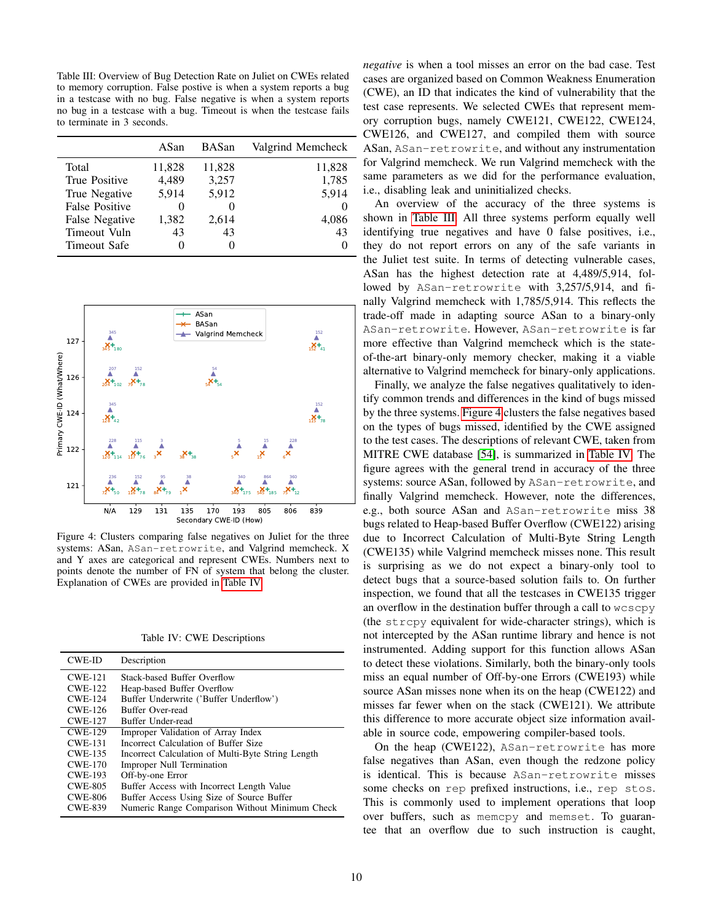<span id="page-9-1"></span>Table III: Overview of Bug Detection Rate on Juliet on CWEs related to memory corruption. False postive is when a system reports a bug in a testcase with no bug. False negative is when a system reports no bug in a testcase with a bug. Timeout is when the testcase fails to terminate in 3 seconds.

|                       | ASan     | <b>BASan</b> | Valgrind Memcheck |
|-----------------------|----------|--------------|-------------------|
| Total                 | 11,828   | 11,828       | 11,828            |
| True Positive         | 4,489    | 3,257        | 1,785             |
| True Negative         | 5,914    | 5,912        | 5,914             |
| <b>False Positive</b> | $\theta$ |              |                   |
| False Negative        | 1.382    | 2,614        | 4,086             |
| Timeout Vuln          | 43       | 43           | 43                |
| <b>Timeout Safe</b>   |          |              |                   |

<span id="page-9-2"></span>

Figure 4: Clusters comparing false negatives on Juliet for the three systems: ASan, ASan-retrowrite, and Valgrind memcheck. X and Y axes are categorical and represent CWEs. Numbers next to points denote the number of FN of system that belong the cluster. Explanation of CWEs are provided in [Table IV](#page-9-0)

|  |  |  |  | Table IV: CWE Descriptions |
|--|--|--|--|----------------------------|
|--|--|--|--|----------------------------|

<span id="page-9-0"></span>

| <b>CWE-ID</b>  | Description                                       |
|----------------|---------------------------------------------------|
| <b>CWE-121</b> | Stack-based Buffer Overflow                       |
| <b>CWE-122</b> | Heap-based Buffer Overflow                        |
| <b>CWE-124</b> | Buffer Underwrite ('Buffer Underflow')            |
| <b>CWE-126</b> | <b>Buffer Over-read</b>                           |
| <b>CWE-127</b> | Buffer Under-read                                 |
| <b>CWE-129</b> | Improper Validation of Array Index                |
| <b>CWE-131</b> | Incorrect Calculation of Buffer Size              |
| <b>CWE-135</b> | Incorrect Calculation of Multi-Byte String Length |
| <b>CWE-170</b> | Improper Null Termination                         |
| <b>CWE-193</b> | Off-by-one Error                                  |
| <b>CWE-805</b> | Buffer Access with Incorrect Length Value         |
| <b>CWE-806</b> | Buffer Access Using Size of Source Buffer         |
| <b>CWE-839</b> | Numeric Range Comparison Without Minimum Check    |

*negative* is when a tool misses an error on the bad case. Test cases are organized based on Common Weakness Enumeration (CWE), an ID that indicates the kind of vulnerability that the test case represents. We selected CWEs that represent memory corruption bugs, namely CWE121, CWE122, CWE124, CWE126, and CWE127, and compiled them with source ASan, ASan-retrowrite, and without any instrumentation for Valgrind memcheck. We run Valgrind memcheck with the same parameters as we did for the performance evaluation, i.e., disabling leak and uninitialized checks.

An overview of the accuracy of the three systems is shown in [Table III.](#page-9-1) All three systems perform equally well identifying true negatives and have 0 false positives, i.e., they do not report errors on any of the safe variants in the Juliet test suite. In terms of detecting vulnerable cases, ASan has the highest detection rate at 4,489/5,914, followed by ASan-retrowrite with 3,257/5,914, and finally Valgrind memcheck with 1,785/5,914. This reflects the trade-off made in adapting source ASan to a binary-only ASan-retrowrite. However, ASan-retrowrite is far more effective than Valgrind memcheck which is the stateof-the-art binary-only memory checker, making it a viable alternative to Valgrind memcheck for binary-only applications.

Finally, we analyze the false negatives qualitatively to identify common trends and differences in the kind of bugs missed by the three systems. [Figure 4](#page-9-2) clusters the false negatives based on the types of bugs missed, identified by the CWE assigned to the test cases. The descriptions of relevant CWE, taken from MITRE CWE database [\[54\]](#page-14-16), is summarized in [Table IV.](#page-9-0) The figure agrees with the general trend in accuracy of the three systems: source ASan, followed by ASan-retrowrite, and finally Valgrind memcheck. However, note the differences, e.g., both source ASan and ASan-retrowrite miss 38 bugs related to Heap-based Buffer Overflow (CWE122) arising due to Incorrect Calculation of Multi-Byte String Length (CWE135) while Valgrind memcheck misses none. This result is surprising as we do not expect a binary-only tool to detect bugs that a source-based solution fails to. On further inspection, we found that all the testcases in CWE135 trigger an overflow in the destination buffer through a call to wcscpy (the strcpy equivalent for wide-character strings), which is not intercepted by the ASan runtime library and hence is not instrumented. Adding support for this function allows ASan to detect these violations. Similarly, both the binary-only tools miss an equal number of Off-by-one Errors (CWE193) while source ASan misses none when its on the heap (CWE122) and misses far fewer when on the stack (CWE121). We attribute this difference to more accurate object size information available in source code, empowering compiler-based tools.

On the heap (CWE122), ASan-retrowrite has more false negatives than ASan, even though the redzone policy is identical. This is because ASan-retrowrite misses some checks on rep prefixed instructions, i.e., rep stos. This is commonly used to implement operations that loop over buffers, such as memcpy and memset. To guarantee that an overflow due to such instruction is caught,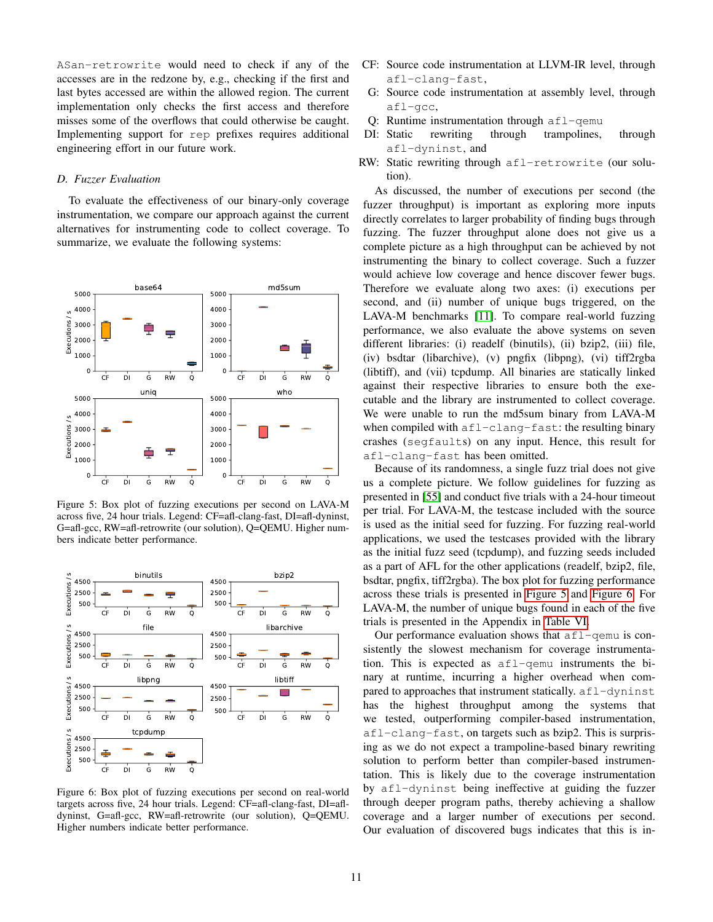ASan-retrowrite would need to check if any of the accesses are in the redzone by, e.g., checking if the first and last bytes accessed are within the allowed region. The current implementation only checks the first access and therefore misses some of the overflows that could otherwise be caught. Implementing support for rep prefixes requires additional engineering effort in our future work.

# *D. Fuzzer Evaluation*

To evaluate the effectiveness of our binary-only coverage instrumentation, we compare our approach against the current alternatives for instrumenting code to collect coverage. To summarize, we evaluate the following systems:

<span id="page-10-0"></span>

Figure 5: Box plot of fuzzing executions per second on LAVA-M across five, 24 hour trials. Legend: CF=afl-clang-fast, DI=afl-dyninst, G=afl-gcc, RW=afl-retrowrite (our solution), Q=QEMU. Higher numbers indicate better performance.

<span id="page-10-1"></span>

Figure 6: Box plot of fuzzing executions per second on real-world targets across five, 24 hour trials. Legend: CF=afl-clang-fast, DI=afldyninst, G=afl-gcc, RW=afl-retrowrite (our solution), Q=QEMU. Higher numbers indicate better performance.

- CF: Source code instrumentation at LLVM-IR level, through afl-clang-fast,
- G: Source code instrumentation at assembly level, through afl-gcc,
- Q: Runtime instrumentation through afl-qemu
- DI: Static rewriting through trampolines, through afl-dyninst, and
- RW: Static rewriting through afl-retrowrite (our solution).

As discussed, the number of executions per second (the fuzzer throughput) is important as exploring more inputs directly correlates to larger probability of finding bugs through fuzzing. The fuzzer throughput alone does not give us a complete picture as a high throughput can be achieved by not instrumenting the binary to collect coverage. Such a fuzzer would achieve low coverage and hence discover fewer bugs. Therefore we evaluate along two axes: (i) executions per second, and (ii) number of unique bugs triggered, on the LAVA-M benchmarks [\[11\]](#page-13-10). To compare real-world fuzzing performance, we also evaluate the above systems on seven different libraries: (i) readelf (binutils), (ii) bzip2, (iii) file, (iv) bsdtar (libarchive), (v) pngfix (libpng), (vi) tiff2rgba (libtiff), and (vii) tcpdump. All binaries are statically linked against their respective libraries to ensure both the executable and the library are instrumented to collect coverage. We were unable to run the md5sum binary from LAVA-M when compiled with  $af1-clang-fast$ : the resulting binary crashes (segfaults) on any input. Hence, this result for afl-clang-fast has been omitted.

Because of its randomness, a single fuzz trial does not give us a complete picture. We follow guidelines for fuzzing as presented in [\[55\]](#page-14-17) and conduct five trials with a 24-hour timeout per trial. For LAVA-M, the testcase included with the source is used as the initial seed for fuzzing. For fuzzing real-world applications, we used the testcases provided with the library as the initial fuzz seed (tcpdump), and fuzzing seeds included as a part of AFL for the other applications (readelf, bzip2, file, bsdtar, pngfix, tiff2rgba). The box plot for fuzzing performance across these trials is presented in [Figure 5](#page-10-0) and [Figure 6.](#page-10-1) For LAVA-M, the number of unique bugs found in each of the five trials is presented in the Appendix in [Table VI.](#page-14-18)

Our performance evaluation shows that  $afl$ -qemu is consistently the slowest mechanism for coverage instrumentation. This is expected as afl-qemu instruments the binary at runtime, incurring a higher overhead when compared to approaches that instrument statically. afl-dyninst has the highest throughput among the systems that we tested, outperforming compiler-based instrumentation, afl-clang-fast, on targets such as bzip2. This is surprising as we do not expect a trampoline-based binary rewriting solution to perform better than compiler-based instrumentation. This is likely due to the coverage instrumentation by afl-dyninst being ineffective at guiding the fuzzer through deeper program paths, thereby achieving a shallow coverage and a larger number of executions per second. Our evaluation of discovered bugs indicates that this is in-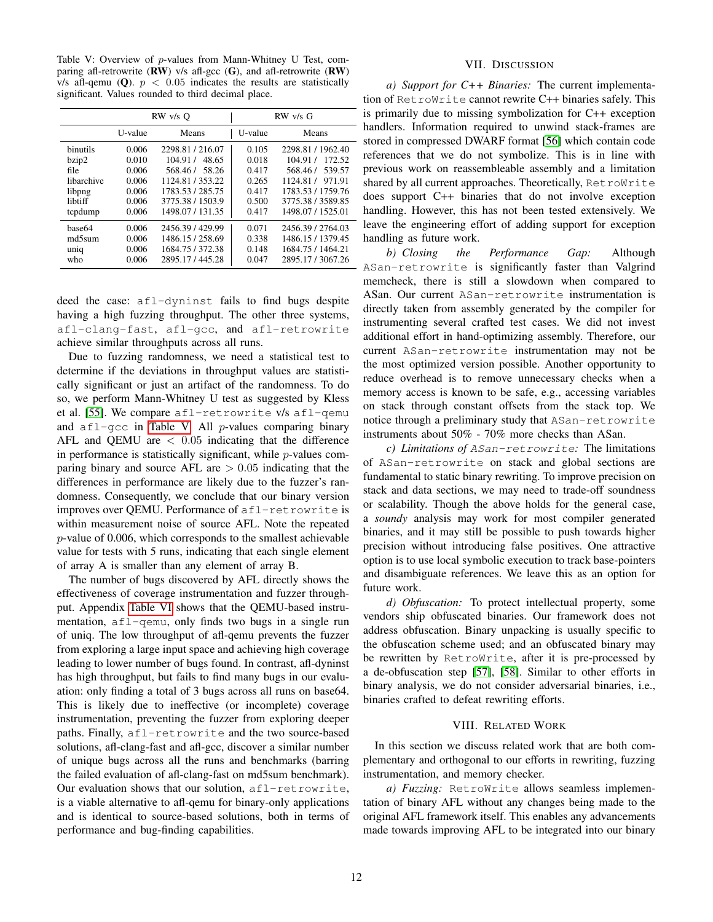<span id="page-11-2"></span>Table V: Overview of p-values from Mann-Whitney U Test, comparing afl-retrowrite (RW) v/s afl-gcc (G), and afl-retrowrite (RW) v/s aff-qemu (Q).  $p < 0.05$  indicates the results are statistically significant. Values rounded to third decimal place.

|                                                                         |                                                             | $RW$ v/s $O$                                                                                                                       | $RW$ v/s $G$                                                |                                                                                                                                                |  |
|-------------------------------------------------------------------------|-------------------------------------------------------------|------------------------------------------------------------------------------------------------------------------------------------|-------------------------------------------------------------|------------------------------------------------------------------------------------------------------------------------------------------------|--|
|                                                                         | U-value                                                     | Means                                                                                                                              | U-value                                                     | Means                                                                                                                                          |  |
| binutils<br>bzip2<br>file<br>libarchive<br>libpng<br>libtiff<br>tcpdump | 0.006<br>0.010<br>0.006<br>0.006<br>0.006<br>0.006<br>0.006 | 2298.81/216.07<br>104.91/<br>48.65<br>568.46 / 58.26<br>1124.81/353.22<br>1783.53 / 285.75<br>3775.38 / 1503.9<br>1498.07 / 131.35 | 0.105<br>0.018<br>0.417<br>0.265<br>0.417<br>0.500<br>0.417 | 2298.81/1962.40<br>104.91/<br>172.52<br>539.57<br>568.467<br>1124.81/<br>971.91<br>1783.53 / 1759.76<br>3775.38 / 3589.85<br>1498.07 / 1525.01 |  |
| base <sub>64</sub><br>md5sum<br>uniq<br>who                             | 0.006<br>0.006<br>0.006<br>0.006                            | 2456.39 / 429.99<br>1486.15/258.69<br>1684.75 / 372.38<br>2895.17/445.28                                                           | 0.071<br>0.338<br>0.148<br>0.047                            | 2456.39 / 2764.03<br>1486.15 / 1379.45<br>1684.75 / 1464.21<br>2895.17/3067.26                                                                 |  |

deed the case: afl-dyninst fails to find bugs despite having a high fuzzing throughput. The other three systems, afl-clang-fast, afl-gcc, and afl-retrowrite achieve similar throughputs across all runs.

Due to fuzzing randomness, we need a statistical test to determine if the deviations in throughput values are statistically significant or just an artifact of the randomness. To do so, we perform Mann-Whitney U test as suggested by Kless et al. [\[55\]](#page-14-17). We compare afl-retrowrite v/s afl-qemu and  $af1-qcc$  in [Table V.](#page-11-2) All *p*-values comparing binary AFL and QEMU are  $< 0.05$  indicating that the difference in performance is statistically significant, while  $p$ -values comparing binary and source AFL are  $> 0.05$  indicating that the differences in performance are likely due to the fuzzer's randomness. Consequently, we conclude that our binary version improves over QEMU. Performance of afl-retrowrite is within measurement noise of source AFL. Note the repeated p-value of 0.006, which corresponds to the smallest achievable value for tests with 5 runs, indicating that each single element of array A is smaller than any element of array B.

The number of bugs discovered by AFL directly shows the effectiveness of coverage instrumentation and fuzzer throughput. Appendix [Table VI](#page-14-18) shows that the QEMU-based instrumentation, afl-qemu, only finds two bugs in a single run of uniq. The low throughput of afl-qemu prevents the fuzzer from exploring a large input space and achieving high coverage leading to lower number of bugs found. In contrast, afl-dyninst has high throughput, but fails to find many bugs in our evaluation: only finding a total of 3 bugs across all runs on base64. This is likely due to ineffective (or incomplete) coverage instrumentation, preventing the fuzzer from exploring deeper paths. Finally, afl-retrowrite and the two source-based solutions, afl-clang-fast and afl-gcc, discover a similar number of unique bugs across all the runs and benchmarks (barring the failed evaluation of afl-clang-fast on md5sum benchmark). Our evaluation shows that our solution, afl-retrowrite, is a viable alternative to afl-qemu for binary-only applications and is identical to source-based solutions, both in terms of performance and bug-finding capabilities.

# VII. DISCUSSION

<span id="page-11-0"></span>*a) Support for C++ Binaries:* The current implementation of RetroWrite cannot rewrite C++ binaries safely. This is primarily due to missing symbolization for C++ exception handlers. Information required to unwind stack-frames are stored in compressed DWARF format [\[56\]](#page-14-19) which contain code references that we do not symbolize. This is in line with previous work on reassembleable assembly and a limitation shared by all current approaches. Theoretically, RetroWrite does support C++ binaries that do not involve exception handling. However, this has not been tested extensively. We leave the engineering effort of adding support for exception handling as future work.

*b) Closing the Performance Gap:* Although ASan-retrowrite is significantly faster than Valgrind memcheck, there is still a slowdown when compared to ASan. Our current ASan-retrowrite instrumentation is directly taken from assembly generated by the compiler for instrumenting several crafted test cases. We did not invest additional effort in hand-optimizing assembly. Therefore, our current ASan-retrowrite instrumentation may not be the most optimized version possible. Another opportunity to reduce overhead is to remove unnecessary checks when a memory access is known to be safe, e.g., accessing variables on stack through constant offsets from the stack top. We notice through a preliminary study that ASan-retrowrite instruments about 50% - 70% more checks than ASan.

*c) Limitations of* ASan-retrowrite*:* The limitations of ASan-retrowrite on stack and global sections are fundamental to static binary rewriting. To improve precision on stack and data sections, we may need to trade-off soundness or scalability. Though the above holds for the general case, a *soundy* analysis may work for most compiler generated binaries, and it may still be possible to push towards higher precision without introducing false positives. One attractive option is to use local symbolic execution to track base-pointers and disambiguate references. We leave this as an option for future work.

*d) Obfuscation:* To protect intellectual property, some vendors ship obfuscated binaries. Our framework does not address obfuscation. Binary unpacking is usually specific to the obfuscation scheme used; and an obfuscated binary may be rewritten by RetroWrite, after it is pre-processed by a de-obfuscation step [\[57\]](#page-14-20), [\[58\]](#page-14-21). Similar to other efforts in binary analysis, we do not consider adversarial binaries, i.e., binaries crafted to defeat rewriting efforts.

### VIII. RELATED WORK

<span id="page-11-1"></span>In this section we discuss related work that are both complementary and orthogonal to our efforts in rewriting, fuzzing instrumentation, and memory checker.

*a) Fuzzing:* RetroWrite allows seamless implementation of binary AFL without any changes being made to the original AFL framework itself. This enables any advancements made towards improving AFL to be integrated into our binary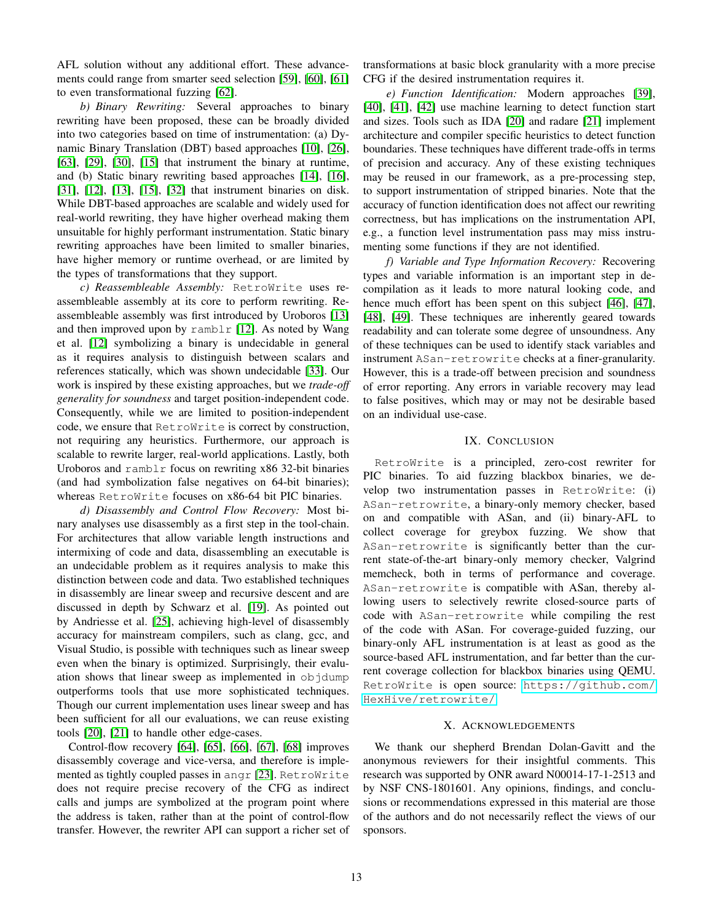AFL solution without any additional effort. These advancements could range from smarter seed selection [\[59\]](#page-14-22), [\[60\]](#page-14-23), [\[61\]](#page-14-24) to even transformational fuzzing [\[62\]](#page-14-25).

*b) Binary Rewriting:* Several approaches to binary rewriting have been proposed, these can be broadly divided into two categories based on time of instrumentation: (a) Dynamic Binary Translation (DBT) based approaches [\[10\]](#page-13-9), [\[26\]](#page-13-25), [\[63\]](#page-14-26),  $[29]$ ,  $[30]$ ,  $[15]$  that instrument the binary at runtime, and (b) Static binary rewriting based approaches [\[14\]](#page-13-13), [\[16\]](#page-13-15), [\[31\]](#page-13-30), [\[12\]](#page-13-11), [\[13\]](#page-13-12), [\[15\]](#page-13-14), [\[32\]](#page-13-31) that instrument binaries on disk. While DBT-based approaches are scalable and widely used for real-world rewriting, they have higher overhead making them unsuitable for highly performant instrumentation. Static binary rewriting approaches have been limited to smaller binaries, have higher memory or runtime overhead, or are limited by the types of transformations that they support.

*c) Reassembleable Assembly:* RetroWrite uses reassembleable assembly at its core to perform rewriting. Reassembleable assembly was first introduced by Uroboros [\[13\]](#page-13-12) and then improved upon by ramblr [\[12\]](#page-13-11). As noted by Wang et al. [\[12\]](#page-13-11) symbolizing a binary is undecidable in general as it requires analysis to distinguish between scalars and references statically, which was shown undecidable [\[33\]](#page-13-32). Our work is inspired by these existing approaches, but we *trade-off generality for soundness* and target position-independent code. Consequently, while we are limited to position-independent code, we ensure that RetroWrite is correct by construction, not requiring any heuristics. Furthermore, our approach is scalable to rewrite larger, real-world applications. Lastly, both Uroboros and ramblr focus on rewriting x86 32-bit binaries (and had symbolization false negatives on 64-bit binaries); whereas RetroWrite focuses on x86-64 bit PIC binaries.

*d) Disassembly and Control Flow Recovery:* Most binary analyses use disassembly as a first step in the tool-chain. For architectures that allow variable length instructions and intermixing of code and data, disassembling an executable is an undecidable problem as it requires analysis to make this distinction between code and data. Two established techniques in disassembly are linear sweep and recursive descent and are discussed in depth by Schwarz et al. [\[19\]](#page-13-18). As pointed out by Andriesse et al. [\[25\]](#page-13-24), achieving high-level of disassembly accuracy for mainstream compilers, such as clang, gcc, and Visual Studio, is possible with techniques such as linear sweep even when the binary is optimized. Surprisingly, their evaluation shows that linear sweep as implemented in objdump outperforms tools that use more sophisticated techniques. Though our current implementation uses linear sweep and has been sufficient for all our evaluations, we can reuse existing tools [\[20\]](#page-13-19), [\[21\]](#page-13-20) to handle other edge-cases.

Control-flow recovery [\[64\]](#page-14-27), [\[65\]](#page-14-28), [\[66\]](#page-14-29), [\[67\]](#page-14-30), [\[68\]](#page-14-31) improves disassembly coverage and vice-versa, and therefore is implemented as tightly coupled passes in angr [\[23\]](#page-13-22). RetroWrite does not require precise recovery of the CFG as indirect calls and jumps are symbolized at the program point where the address is taken, rather than at the point of control-flow transfer. However, the rewriter API can support a richer set of

transformations at basic block granularity with a more precise CFG if the desired instrumentation requires it.

*e) Function Identification:* Modern approaches [\[39\]](#page-14-1), [\[40\]](#page-14-2), [\[41\]](#page-14-3), [\[42\]](#page-14-4) use machine learning to detect function start and sizes. Tools such as IDA [\[20\]](#page-13-19) and radare [\[21\]](#page-13-20) implement architecture and compiler specific heuristics to detect function boundaries. These techniques have different trade-offs in terms of precision and accuracy. Any of these existing techniques may be reused in our framework, as a pre-processing step, to support instrumentation of stripped binaries. Note that the accuracy of function identification does not affect our rewriting correctness, but has implications on the instrumentation API, e.g., a function level instrumentation pass may miss instrumenting some functions if they are not identified.

*f) Variable and Type Information Recovery:* Recovering types and variable information is an important step in decompilation as it leads to more natural looking code, and hence much effort has been spent on this subject [\[46\]](#page-14-8), [\[47\]](#page-14-9), [\[48\]](#page-14-10), [\[49\]](#page-14-11). These techniques are inherently geared towards readability and can tolerate some degree of unsoundness. Any of these techniques can be used to identify stack variables and instrument ASan-retrowrite checks at a finer-granularity. However, this is a trade-off between precision and soundness of error reporting. Any errors in variable recovery may lead to false positives, which may or may not be desirable based on an individual use-case.

### IX. CONCLUSION

RetroWrite is a principled, zero-cost rewriter for PIC binaries. To aid fuzzing blackbox binaries, we develop two instrumentation passes in RetroWrite: (i) ASan-retrowrite, a binary-only memory checker, based on and compatible with ASan, and (ii) binary-AFL to collect coverage for greybox fuzzing. We show that ASan-retrowrite is significantly better than the current state-of-the-art binary-only memory checker, Valgrind memcheck, both in terms of performance and coverage. ASan-retrowrite is compatible with ASan, thereby allowing users to selectively rewrite closed-source parts of code with ASan-retrowrite while compiling the rest of the code with ASan. For coverage-guided fuzzing, our binary-only AFL instrumentation is at least as good as the source-based AFL instrumentation, and far better than the current coverage collection for blackbox binaries using QEMU. RetroWrite is open source: [https://github.com/](https://github.com/HexHive/retrowrite/) [HexHive/retrowrite/](https://github.com/HexHive/retrowrite/).

#### X. ACKNOWLEDGEMENTS

We thank our shepherd Brendan Dolan-Gavitt and the anonymous reviewers for their insightful comments. This research was supported by ONR award N00014-17-1-2513 and by NSF CNS-1801601. Any opinions, findings, and conclusions or recommendations expressed in this material are those of the authors and do not necessarily reflect the views of our sponsors.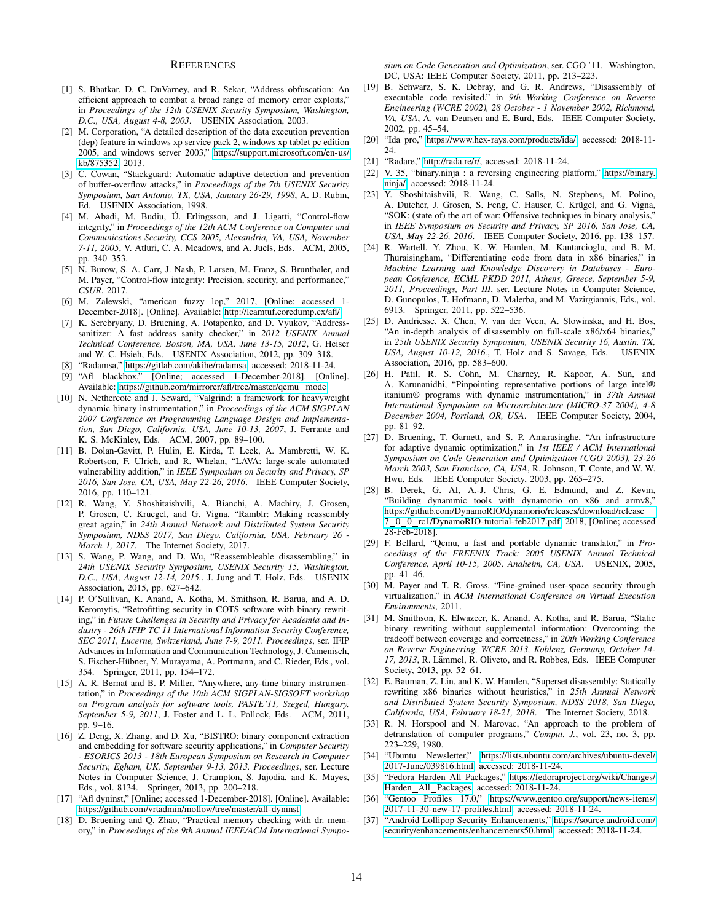#### **REFERENCES**

- <span id="page-13-0"></span>[1] S. Bhatkar, D. C. DuVarney, and R. Sekar, "Address obfuscation: An efficient approach to combat a broad range of memory error exploits," in *Proceedings of the 12th USENIX Security Symposium, Washington, D.C., USA, August 4-8, 2003*. USENIX Association, 2003.
- <span id="page-13-1"></span>[2] M. Corporation, "A detailed description of the data execution prevention (dep) feature in windows xp service pack 2, windows xp tablet pc edition 2005, and windows server 2003," [https://support.microsoft.com/en-us/](https://support.microsoft.com/en-us/kb/875352) [kb/875352,](https://support.microsoft.com/en-us/kb/875352) 2013.
- <span id="page-13-2"></span>[3] C. Cowan, "Stackguard: Automatic adaptive detection and prevention of buffer-overflow attacks," in *Proceedings of the 7th USENIX Security Symposium, San Antonio, TX, USA, January 26-29, 1998*, A. D. Rubin, Ed. USENIX Association, 1998.
- <span id="page-13-3"></span>[4] M. Abadi, M. Budiu, U. Erlingsson, and J. Ligatti, "Control-flow integrity," in *Proceedings of the 12th ACM Conference on Computer and Communications Security, CCS 2005, Alexandria, VA, USA, November 7-11, 2005*, V. Atluri, C. A. Meadows, and A. Juels, Eds. ACM, 2005, pp. 340–353.
- <span id="page-13-4"></span>[5] N. Burow, S. A. Carr, J. Nash, P. Larsen, M. Franz, S. Brunthaler, and M. Payer, "Control-flow integrity: Precision, security, and performance," *CSUR*, 2017.
- <span id="page-13-5"></span>[6] M. Zalewski, "american fuzzy lop," 2017, [Online; accessed 1- December-2018]. [Online]. Available:<http://lcamtuf.coredump.cx/afl/>
- <span id="page-13-6"></span>[7] K. Serebryany, D. Bruening, A. Potapenko, and D. Vyukov, "Addresssanitizer: A fast address sanity checker," in *2012 USENIX Annual Technical Conference, Boston, MA, USA, June 13-15, 2012*, G. Heiser and W. C. Hsieh, Eds. USENIX Association, 2012, pp. 309–318.
- <span id="page-13-7"></span>[8] "Radamsa," [https://gitlab.com/akihe/radamsa,](https://gitlab.com/akihe/radamsa) accessed: 2018-11-24.
- <span id="page-13-8"></span>[9] "Afl blackbox," [Online; accessed 1-December-2018]. [Online]. Available: [https://github.com/mirrorer/afl/tree/master/qemu](https://github.com/mirrorer/afl/tree/master/qemu_mode) mode
- <span id="page-13-9"></span>[10] N. Nethercote and J. Seward, "Valgrind: a framework for heavyweight dynamic binary instrumentation," in *Proceedings of the ACM SIGPLAN 2007 Conference on Programming Language Design and Implementation, San Diego, California, USA, June 10-13, 2007*, J. Ferrante and K. S. McKinley, Eds. ACM, 2007, pp. 89–100.
- <span id="page-13-10"></span>[11] B. Dolan-Gavitt, P. Hulin, E. Kirda, T. Leek, A. Mambretti, W. K. Robertson, F. Ulrich, and R. Whelan, "LAVA: large-scale automated vulnerability addition," in *IEEE Symposium on Security and Privacy, SP 2016, San Jose, CA, USA, May 22-26, 2016*. IEEE Computer Society, 2016, pp. 110–121.
- <span id="page-13-11"></span>[12] R. Wang, Y. Shoshitaishvili, A. Bianchi, A. Machiry, J. Grosen, P. Grosen, C. Kruegel, and G. Vigna, "Ramblr: Making reassembly great again," in *24th Annual Network and Distributed System Security Symposium, NDSS 2017, San Diego, California, USA, February 26 - March 1, 2017*. The Internet Society, 2017.
- <span id="page-13-12"></span>[13] S. Wang, P. Wang, and D. Wu, "Reassembleable disassembling," in *24th USENIX Security Symposium, USENIX Security 15, Washington, D.C., USA, August 12-14, 2015.*, J. Jung and T. Holz, Eds. USENIX Association, 2015, pp. 627–642.
- <span id="page-13-13"></span>[14] P. O'Sullivan, K. Anand, A. Kotha, M. Smithson, R. Barua, and A. D. Keromytis, "Retrofitting security in COTS software with binary rewriting," in *Future Challenges in Security and Privacy for Academia and Industry - 26th IFIP TC 11 International Information Security Conference, SEC 2011, Lucerne, Switzerland, June 7-9, 2011. Proceedings*, ser. IFIP Advances in Information and Communication Technology, J. Camenisch, S. Fischer-Hübner, Y. Murayama, A. Portmann, and C. Rieder, Eds., vol. 354. Springer, 2011, pp. 154–172.
- <span id="page-13-14"></span>[15] A. R. Bernat and B. P. Miller, "Anywhere, any-time binary instrumentation," in *Proceedings of the 10th ACM SIGPLAN-SIGSOFT workshop on Program analysis for software tools, PASTE'11, Szeged, Hungary, September 5-9, 2011*, J. Foster and L. L. Pollock, Eds. ACM, 2011, pp. 9–16.
- <span id="page-13-15"></span>[16] Z. Deng, X. Zhang, and D. Xu, "BISTRO: binary component extraction and embedding for software security applications," in *Computer Security - ESORICS 2013 - 18th European Symposium on Research in Computer Security, Egham, UK, September 9-13, 2013. Proceedings*, ser. Lecture Notes in Computer Science, J. Crampton, S. Jajodia, and K. Mayes, Eds., vol. 8134. Springer, 2013, pp. 200–218.
- <span id="page-13-16"></span>[17] "Afl dyninst," [Online; accessed 1-December-2018]. [Online]. Available: <https://github.com/vrtadmin/moflow/tree/master/afl-dyninst>
- <span id="page-13-17"></span>[18] D. Bruening and Q. Zhao, "Practical memory checking with dr. memory," in *Proceedings of the 9th Annual IEEE/ACM International Sympo-*

*sium on Code Generation and Optimization*, ser. CGO '11. Washington, DC, USA: IEEE Computer Society, 2011, pp. 213–223.

- <span id="page-13-18"></span>[19] B. Schwarz, S. K. Debray, and G. R. Andrews, "Disassembly of executable code revisited," in *9th Working Conference on Reverse Engineering (WCRE 2002), 28 October - 1 November 2002, Richmond, VA, USA*, A. van Deursen and E. Burd, Eds. IEEE Computer Society, 2002, pp. 45–54.
- <span id="page-13-19"></span>[20] "Ida pro," [https://www.hex-rays.com/products/ida/,](https://www.hex-rays.com/products/ida/) accessed: 2018-11- 24.
- <span id="page-13-20"></span>[21] "Radare," [http://rada.re/r/,](http://rada.re/r/) accessed: 2018-11-24.
- <span id="page-13-21"></span>[22] V. 35, "binary.ninja : a reversing engineering platform," [https://binary.](https://binary.ninja/) [ninja/,](https://binary.ninja/) accessed: 2018-11-24.
- <span id="page-13-22"></span>[23] Y. Shoshitaishvili, R. Wang, C. Salls, N. Stephens, M. Polino, A. Dutcher, J. Grosen, S. Feng, C. Hauser, C. Krügel, and G. Vigna, "SOK: (state of) the art of war: Offensive techniques in binary analysis," in *IEEE Symposium on Security and Privacy, SP 2016, San Jose, CA, USA, May 22-26, 2016*. IEEE Computer Society, 2016, pp. 138–157.
- <span id="page-13-23"></span>[24] R. Wartell, Y. Zhou, K. W. Hamlen, M. Kantarcioglu, and B. M. Thuraisingham, "Differentiating code from data in x86 binaries," in *Machine Learning and Knowledge Discovery in Databases - European Conference, ECML PKDD 2011, Athens, Greece, September 5-9, 2011, Proceedings, Part III*, ser. Lecture Notes in Computer Science, D. Gunopulos, T. Hofmann, D. Malerba, and M. Vazirgiannis, Eds., vol. 6913. Springer, 2011, pp. 522–536.
- <span id="page-13-24"></span>[25] D. Andriesse, X. Chen, V. van der Veen, A. Slowinska, and H. Bos, "An in-depth analysis of disassembly on full-scale x86/x64 binaries," in *25th USENIX Security Symposium, USENIX Security 16, Austin, TX, USA, August 10-12, 2016.*, T. Holz and S. Savage, Eds. USENIX Association, 2016, pp. 583–600.
- <span id="page-13-25"></span>[26] H. Patil, R. S. Cohn, M. Charney, R. Kapoor, A. Sun, and A. Karunanidhi, "Pinpointing representative portions of large intel® itanium® programs with dynamic instrumentation," in *37th Annual International Symposium on Microarchitecture (MICRO-37 2004), 4-8 December 2004, Portland, OR, USA*. IEEE Computer Society, 2004, pp. 81–92.
- <span id="page-13-26"></span>[27] D. Bruening, T. Garnett, and S. P. Amarasinghe, "An infrastructure for adaptive dynamic optimization," in *1st IEEE / ACM International Symposium on Code Generation and Optimization (CGO 2003), 23-26 March 2003, San Francisco, CA, USA*, R. Johnson, T. Conte, and W. W. Hwu, Eds. IEEE Computer Society, 2003, pp. 265–275.
- <span id="page-13-27"></span>[28] B. Derek, G. AI, A.-J. Chris, G. E. Edmund, and Z. Kevin, "Building dynammic tools with dynamorio on x86 and armv8," [https://github.com/DynamoRIO/dynamorio/releases/download/release](https://github.com/DynamoRIO/dynamorio/releases/download/release_7_0_0_rc1/DynamoRIO-tutorial-feb2017.pdf) 7 0 0 [rc1/DynamoRIO-tutorial-feb2017.pdf,](https://github.com/DynamoRIO/dynamorio/releases/download/release_7_0_0_rc1/DynamoRIO-tutorial-feb2017.pdf) 2018, [Online; accessed 28-Feb-2018].
- <span id="page-13-28"></span>[29] F. Bellard, "Qemu, a fast and portable dynamic translator," in *Proceedings of the FREENIX Track: 2005 USENIX Annual Technical Conference, April 10-15, 2005, Anaheim, CA, USA*. USENIX, 2005, pp. 41–46.
- <span id="page-13-29"></span>[30] M. Payer and T. R. Gross, "Fine-grained user-space security through virtualization," in *ACM International Conference on Virtual Execution Environments*, 2011.
- <span id="page-13-30"></span>[31] M. Smithson, K. Elwazeer, K. Anand, A. Kotha, and R. Barua, "Static binary rewriting without supplemental information: Overcoming the tradeoff between coverage and correctness," in *20th Working Conference on Reverse Engineering, WCRE 2013, Koblenz, Germany, October 14-* 17, 2013, R. Lämmel, R. Oliveto, and R. Robbes, Eds. IEEE Computer Society, 2013, pp. 52–61.
- <span id="page-13-31"></span>[32] E. Bauman, Z. Lin, and K. W. Hamlen, "Superset disassembly: Statically rewriting x86 binaries without heuristics," in *25th Annual Network and Distributed System Security Symposium, NDSS 2018, San Diego, California, USA, February 18-21, 2018*. The Internet Society, 2018.
- <span id="page-13-32"></span>[33] R. N. Horspool and N. Marovac, "An approach to the problem of detranslation of computer programs," *Comput. J.*, vol. 23, no. 3, pp. 223–229, 1980.
- <span id="page-13-33"></span>[34] "Ubuntu Newsletter," [https://lists.ubuntu.com/archives/ubuntu-devel/](https://lists.ubuntu.com/archives/ubuntu-devel/2017-June/039816.html) [2017-June/039816.html,](https://lists.ubuntu.com/archives/ubuntu-devel/2017-June/039816.html) accessed: 2018-11-24.
- <span id="page-13-34"></span>[35] "Fedora Harden All Packages," [https://fedoraproject.org/wiki/Changes/](https://fedoraproject.org/wiki/Changes/Harden_All_Packages) Harden\_All\_[Packages,](https://fedoraproject.org/wiki/Changes/Harden_All_Packages) accessed: 2018-11-24.
- <span id="page-13-35"></span>[36] "Gentoo Profiles 17.0," [https://www.gentoo.org/support/news-items/](https://www.gentoo.org/support/news-items/2017-11-30-new-17-profiles.html) [2017-11-30-new-17-profiles.html,](https://www.gentoo.org/support/news-items/2017-11-30-new-17-profiles.html) accessed: 2018-11-24.
- <span id="page-13-36"></span>[37] "Android Lollipop Security Enhancements," [https://source.android.com/](https://source.android.com/security/enhancements/enhancements50.html) [security/enhancements/enhancements50.html,](https://source.android.com/security/enhancements/enhancements50.html) accessed: 2018-11-24.